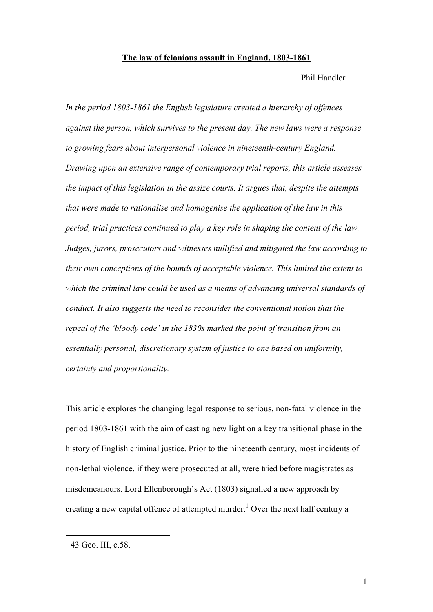#### **The law of felonious assault in England, 1803-1861**

Phil Handler

*In the period 1803-1861 the English legislature created a hierarchy of offences against the person, which survives to the present day. The new laws were a response to growing fears about interpersonal violence in nineteenth-century England. Drawing upon an extensive range of contemporary trial reports, this article assesses the impact of this legislation in the assize courts. It argues that, despite the attempts that were made to rationalise and homogenise the application of the law in this period, trial practices continued to play a key role in shaping the content of the law. Judges, jurors, prosecutors and witnesses nullified and mitigated the law according to their own conceptions of the bounds of acceptable violence. This limited the extent to which the criminal law could be used as a means of advancing universal standards of conduct. It also suggests the need to reconsider the conventional notion that the repeal of the 'bloody code' in the 1830s marked the point of transition from an essentially personal, discretionary system of justice to one based on uniformity, certainty and proportionality.*

This article explores the changing legal response to serious, non-fatal violence in the period 1803-1861 with the aim of casting new light on a key transitional phase in the history of English criminal justice. Prior to the nineteenth century, most incidents of non-lethal violence, if they were prosecuted at all, were tried before magistrates as misdemeanours. Lord Ellenborough's Act (1803) signalled a new approach by creating a new capital offence of attempted murder.<sup>1</sup> Over the next half century a

 $1$  43 Geo. III, c.58.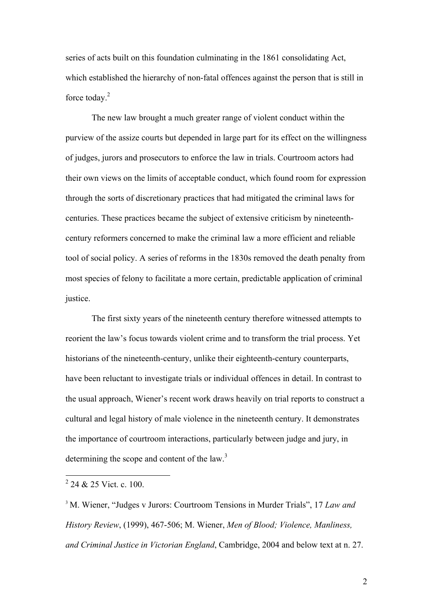series of acts built on this foundation culminating in the 1861 consolidating Act, which established the hierarchy of non-fatal offences against the person that is still in force today. $2$ 

The new law brought a much greater range of violent conduct within the purview of the assize courts but depended in large part for its effect on the willingness of judges, jurors and prosecutors to enforce the law in trials. Courtroom actors had their own views on the limits of acceptable conduct, which found room for expression through the sorts of discretionary practices that had mitigated the criminal laws for centuries. These practices became the subject of extensive criticism by nineteenthcentury reformers concerned to make the criminal law a more efficient and reliable tool of social policy. A series of reforms in the 1830s removed the death penalty from most species of felony to facilitate a more certain, predictable application of criminal justice.

The first sixty years of the nineteenth century therefore witnessed attempts to reorient the law's focus towards violent crime and to transform the trial process. Yet historians of the nineteenth-century, unlike their eighteenth-century counterparts, have been reluctant to investigate trials or individual offences in detail. In contrast to the usual approach, Wiener's recent work draws heavily on trial reports to construct a cultural and legal history of male violence in the nineteenth century. It demonstrates the importance of courtroom interactions, particularly between judge and jury, in determining the scope and content of the law.<sup>3</sup>

<sup>&</sup>lt;sup>2</sup> 24 & 25 Vict. c. 100.

<sup>3</sup> M. Wiener, "Judges v Jurors: Courtroom Tensions in Murder Trials", 17 *Law and History Review*, (1999), 467-506; M. Wiener, *Men of Blood; Violence, Manliness, and Criminal Justice in Victorian England*, Cambridge, 2004 and below text at n. 27.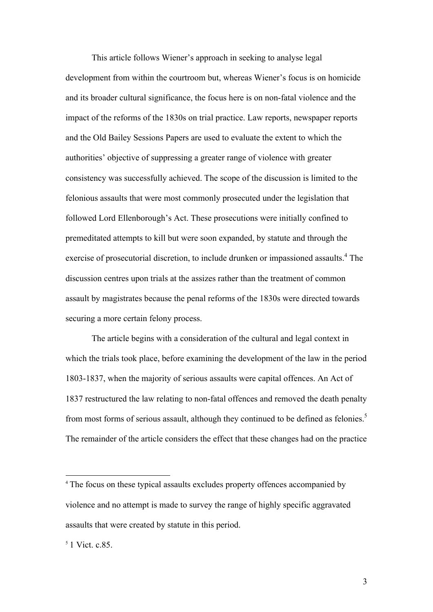This article follows Wiener's approach in seeking to analyse legal development from within the courtroom but, whereas Wiener's focus is on homicide and its broader cultural significance, the focus here is on non-fatal violence and the impact of the reforms of the 1830s on trial practice. Law reports, newspaper reports and the Old Bailey Sessions Papers are used to evaluate the extent to which the authorities' objective of suppressing a greater range of violence with greater consistency was successfully achieved. The scope of the discussion is limited to the felonious assaults that were most commonly prosecuted under the legislation that followed Lord Ellenborough's Act. These prosecutions were initially confined to premeditated attempts to kill but were soon expanded, by statute and through the exercise of prosecutorial discretion, to include drunken or impassioned assaults.<sup>4</sup> The discussion centres upon trials at the assizes rather than the treatment of common assault by magistrates because the penal reforms of the 1830s were directed towards securing a more certain felony process.

The article begins with a consideration of the cultural and legal context in which the trials took place, before examining the development of the law in the period 1803-1837, when the majority of serious assaults were capital offences. An Act of 1837 restructured the law relating to non-fatal offences and removed the death penalty from most forms of serious assault, although they continued to be defined as felonies.<sup>5</sup> The remainder of the article considers the effect that these changes had on the practice

<sup>&</sup>lt;sup>4</sup> The focus on these typical assaults excludes property offences accompanied by violence and no attempt is made to survey the range of highly specific aggravated assaults that were created by statute in this period.

<sup>5</sup> 1 Vict. c.85.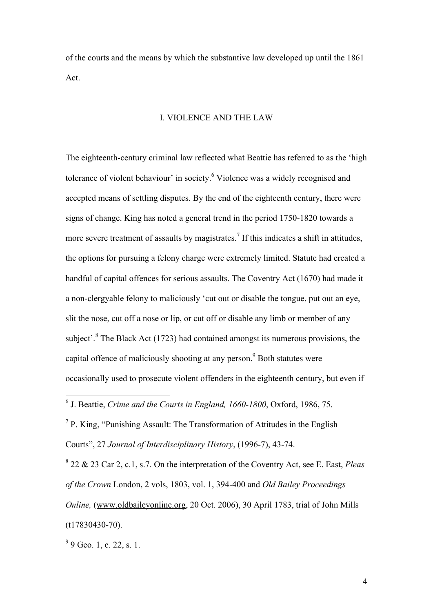of the courts and the means by which the substantive law developed up until the 1861 Act.

# I. VIOLENCE AND THE LAW

The eighteenth-century criminal law reflected what Beattie has referred to as the 'high tolerance of violent behaviour' in society.<sup>6</sup> Violence was a widely recognised and accepted means of settling disputes. By the end of the eighteenth century, there were signs of change. King has noted a general trend in the period 1750-1820 towards a more severe treatment of assaults by magistrates.<sup>7</sup> If this indicates a shift in attitudes, the options for pursuing a felony charge were extremely limited. Statute had created a handful of capital offences for serious assaults. The Coventry Act (1670) had made it a non-clergyable felony to maliciously 'cut out or disable the tongue, put out an eye, slit the nose, cut off a nose or lip, or cut off or disable any limb or member of any subject<sup>'. 8</sup> The Black Act (1723) had contained amongst its numerous provisions, the capital offence of maliciously shooting at any person.<sup>9</sup> Both statutes were occasionally used to prosecute violent offenders in the eighteenth century, but even if

 $<sup>7</sup>$  P. King, "Punishing Assault: The Transformation of Attitudes in the English</sup> Courts", 27 *Journal of Interdisciplinary History*, (1996-7), 43-74.

8 22 & 23 Car 2, c.1, s.7. On the interpretation of the Coventry Act, see E. East, *Pleas of the Crown* London, 2 vols, 1803, vol. 1, 394-400 and *Old Bailey Proceedings Online,* (www.oldbaileyonline.org, 20 Oct. 2006), 30 April 1783, trial of John Mills (t17830430-70).

 $99$  Geo. 1, c. 22, s. 1.

 <sup>6</sup> J. Beattie, *Crime and the Courts in England, 1660-1800*, Oxford, 1986, 75.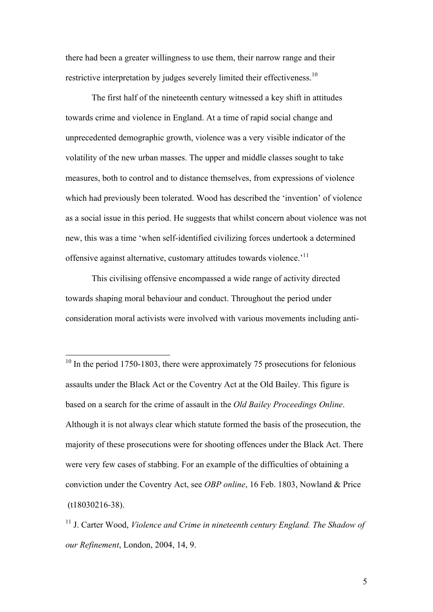there had been a greater willingness to use them, their narrow range and their restrictive interpretation by judges severely limited their effectiveness.<sup>10</sup>

The first half of the nineteenth century witnessed a key shift in attitudes towards crime and violence in England. At a time of rapid social change and unprecedented demographic growth, violence was a very visible indicator of the volatility of the new urban masses. The upper and middle classes sought to take measures, both to control and to distance themselves, from expressions of violence which had previously been tolerated. Wood has described the 'invention' of violence as a social issue in this period. He suggests that whilst concern about violence was not new, this was a time 'when self-identified civilizing forces undertook a determined offensive against alternative, customary attitudes towards violence.'<sup>11</sup>

This civilising offensive encompassed a wide range of activity directed towards shaping moral behaviour and conduct. Throughout the period under consideration moral activists were involved with various movements including anti-

<sup>&</sup>lt;sup>10</sup> In the period 1750-1803, there were approximately 75 prosecutions for felonious assaults under the Black Act or the Coventry Act at the Old Bailey. This figure is based on a search for the crime of assault in the *Old Bailey Proceedings Online*. Although it is not always clear which statute formed the basis of the prosecution, the majority of these prosecutions were for shooting offences under the Black Act. There were very few cases of stabbing. For an example of the difficulties of obtaining a conviction under the Coventry Act, see *OBP online*, 16 Feb. 1803, Nowland & Price (t18030216-38).

<sup>11</sup> J. Carter Wood, *Violence and Crime in nineteenth century England. The Shadow of our Refinement*, London, 2004, 14, 9.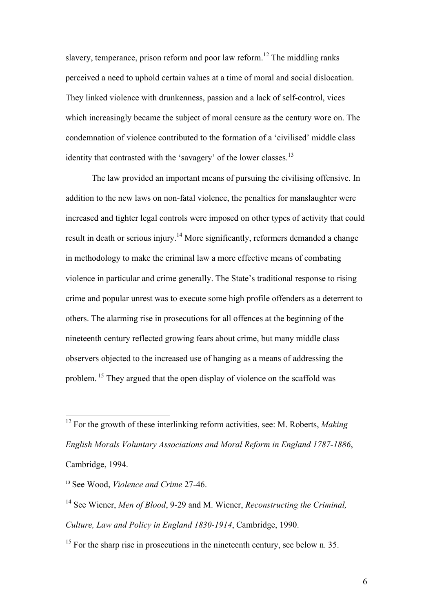slavery, temperance, prison reform and poor law reform.<sup>12</sup> The middling ranks perceived a need to uphold certain values at a time of moral and social dislocation. They linked violence with drunkenness, passion and a lack of self-control, vices which increasingly became the subject of moral censure as the century wore on. The condemnation of violence contributed to the formation of a 'civilised' middle class identity that contrasted with the 'savagery' of the lower classes.<sup>13</sup>

The law provided an important means of pursuing the civilising offensive. In addition to the new laws on non-fatal violence, the penalties for manslaughter were increased and tighter legal controls were imposed on other types of activity that could result in death or serious injury.<sup>14</sup> More significantly, reformers demanded a change in methodology to make the criminal law a more effective means of combating violence in particular and crime generally. The State's traditional response to rising crime and popular unrest was to execute some high profile offenders as a deterrent to others. The alarming rise in prosecutions for all offences at the beginning of the nineteenth century reflected growing fears about crime, but many middle class observers objected to the increased use of hanging as a means of addressing the problem. 15 They argued that the open display of violence on the scaffold was

 <sup>12</sup> For the growth of these interlinking reform activities, see: M. Roberts, *Making English Morals Voluntary Associations and Moral Reform in England 1787-1886*, Cambridge, 1994.

<sup>13</sup> See Wood, *Violence and Crime* 27-46.

<sup>14</sup> See Wiener, *Men of Blood*, 9-29 and M. Wiener, *Reconstructing the Criminal, Culture, Law and Policy in England 1830-1914*, Cambridge, 1990.

 $15$  For the sharp rise in prosecutions in the nineteenth century, see below n. 35.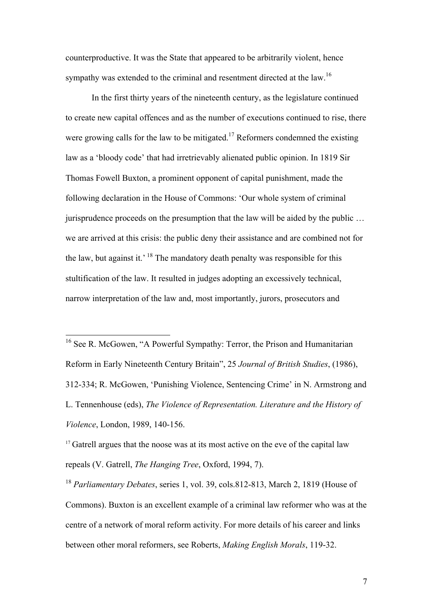counterproductive. It was the State that appeared to be arbitrarily violent, hence sympathy was extended to the criminal and resentment directed at the law.<sup>16</sup>

In the first thirty years of the nineteenth century, as the legislature continued to create new capital offences and as the number of executions continued to rise, there were growing calls for the law to be mitigated.<sup>17</sup> Reformers condemned the existing law as a 'bloody code' that had irretrievably alienated public opinion. In 1819 Sir Thomas Fowell Buxton, a prominent opponent of capital punishment, made the following declaration in the House of Commons: 'Our whole system of criminal jurisprudence proceeds on the presumption that the law will be aided by the public … we are arrived at this crisis: the public deny their assistance and are combined not for the law, but against it.<sup> $18$ </sup> The mandatory death penalty was responsible for this stultification of the law. It resulted in judges adopting an excessively technical, narrow interpretation of the law and, most importantly, jurors, prosecutors and

 16 See R. McGowen, "A Powerful Sympathy: Terror, the Prison and Humanitarian Reform in Early Nineteenth Century Britain", 25 *Journal of British Studies*, (1986), 312-334; R. McGowen, 'Punishing Violence, Sentencing Crime' in N. Armstrong and L. Tennenhouse (eds), *The Violence of Representation. Literature and the History of Violence*, London, 1989, 140-156.

<sup>17</sup> Gatrell argues that the noose was at its most active on the eve of the capital law repeals (V. Gatrell, *The Hanging Tree*, Oxford, 1994, 7).

<sup>18</sup> *Parliamentary Debates*, series 1, vol. 39, cols.812-813, March 2, 1819 (House of Commons). Buxton is an excellent example of a criminal law reformer who was at the centre of a network of moral reform activity. For more details of his career and links between other moral reformers, see Roberts, *Making English Morals*, 119-32.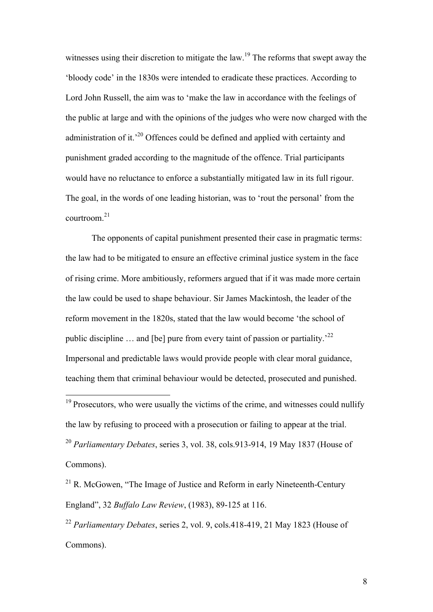witnesses using their discretion to mitigate the law.<sup>19</sup> The reforms that swept away the 'bloody code' in the 1830s were intended to eradicate these practices. According to Lord John Russell, the aim was to 'make the law in accordance with the feelings of the public at large and with the opinions of the judges who were now charged with the administration of it.'20 Offences could be defined and applied with certainty and punishment graded according to the magnitude of the offence. Trial participants would have no reluctance to enforce a substantially mitigated law in its full rigour. The goal, in the words of one leading historian, was to 'rout the personal' from the courtroom.<sup>21</sup>

The opponents of capital punishment presented their case in pragmatic terms: the law had to be mitigated to ensure an effective criminal justice system in the face of rising crime. More ambitiously, reformers argued that if it was made more certain the law could be used to shape behaviour. Sir James Mackintosh, the leader of the reform movement in the 1820s, stated that the law would become 'the school of public discipline  $\ldots$  and [be] pure from every taint of passion or partiality.<sup>22</sup> Impersonal and predictable laws would provide people with clear moral guidance, teaching them that criminal behaviour would be detected, prosecuted and punished.

 $19$  Prosecutors, who were usually the victims of the crime, and witnesses could nullify the law by refusing to proceed with a prosecution or failing to appear at the trial. <sup>20</sup> *Parliamentary Debates*, series 3, vol. 38, cols.913-914, 19 May 1837 (House of Commons).

 $^{21}$  R. McGowen, "The Image of Justice and Reform in early Nineteenth-Century England", 32 *Buffalo Law Review*, (1983), 89-125 at 116.

<sup>22</sup> *Parliamentary Debates*, series 2, vol. 9, cols.418-419, 21 May 1823 (House of Commons).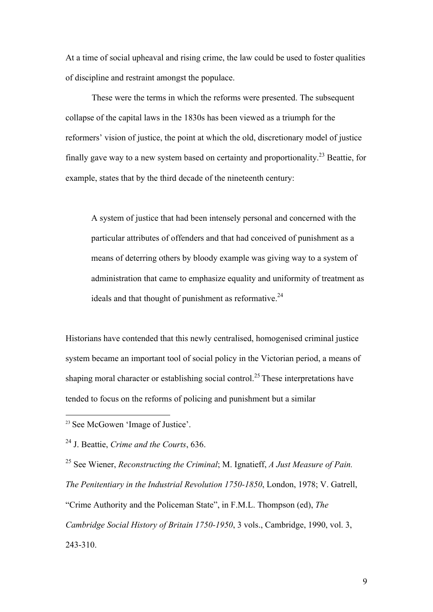At a time of social upheaval and rising crime, the law could be used to foster qualities of discipline and restraint amongst the populace.

These were the terms in which the reforms were presented. The subsequent collapse of the capital laws in the 1830s has been viewed as a triumph for the reformers' vision of justice, the point at which the old, discretionary model of justice finally gave way to a new system based on certainty and proportionality.<sup>23</sup> Beattie, for example, states that by the third decade of the nineteenth century:

A system of justice that had been intensely personal and concerned with the particular attributes of offenders and that had conceived of punishment as a means of deterring others by bloody example was giving way to a system of administration that came to emphasize equality and uniformity of treatment as ideals and that thought of punishment as reformative. $24$ 

Historians have contended that this newly centralised, homogenised criminal justice system became an important tool of social policy in the Victorian period, a means of shaping moral character or establishing social control.<sup>25</sup> These interpretations have tended to focus on the reforms of policing and punishment but a similar

23 See McGowen 'Image of Justice'.

24 J. Beattie, *Crime and the Courts*, 636.

25 See Wiener, *Reconstructing the Criminal*; M. Ignatieff, *A Just Measure of Pain. The Penitentiary in the Industrial Revolution 1750-1850*, London, 1978; V. Gatrell, "Crime Authority and the Policeman State", in F.M.L. Thompson (ed), *The Cambridge Social History of Britain 1750-1950*, 3 vols., Cambridge, 1990, vol. 3, 243-310.

9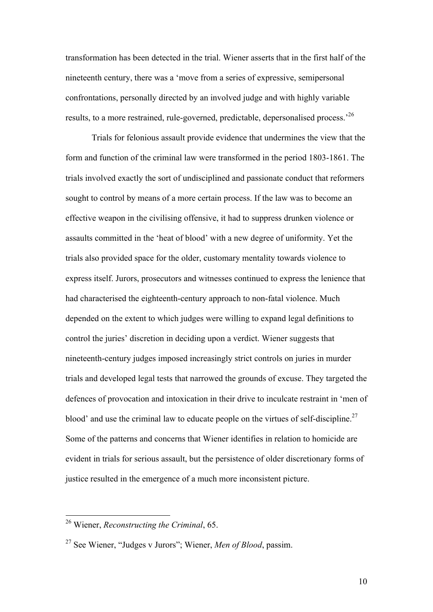transformation has been detected in the trial. Wiener asserts that in the first half of the nineteenth century, there was a 'move from a series of expressive, semipersonal confrontations, personally directed by an involved judge and with highly variable results, to a more restrained, rule-governed, predictable, depersonalised process.'26

Trials for felonious assault provide evidence that undermines the view that the form and function of the criminal law were transformed in the period 1803-1861. The trials involved exactly the sort of undisciplined and passionate conduct that reformers sought to control by means of a more certain process. If the law was to become an effective weapon in the civilising offensive, it had to suppress drunken violence or assaults committed in the 'heat of blood' with a new degree of uniformity. Yet the trials also provided space for the older, customary mentality towards violence to express itself. Jurors, prosecutors and witnesses continued to express the lenience that had characterised the eighteenth-century approach to non-fatal violence. Much depended on the extent to which judges were willing to expand legal definitions to control the juries' discretion in deciding upon a verdict. Wiener suggests that nineteenth-century judges imposed increasingly strict controls on juries in murder trials and developed legal tests that narrowed the grounds of excuse. They targeted the defences of provocation and intoxication in their drive to inculcate restraint in 'men of blood' and use the criminal law to educate people on the virtues of self-discipline.<sup>27</sup> Some of the patterns and concerns that Wiener identifies in relation to homicide are evident in trials for serious assault, but the persistence of older discretionary forms of justice resulted in the emergence of a much more inconsistent picture.

 <sup>26</sup> Wiener, *Reconstructing the Criminal*, 65.

<sup>27</sup> See Wiener, "Judges v Jurors"; Wiener, *Men of Blood*, passim.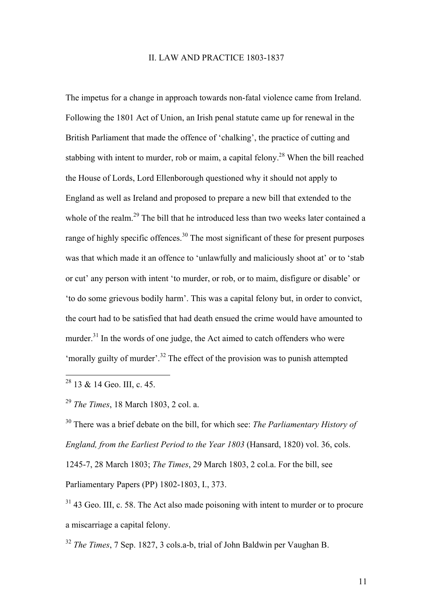#### II. LAW AND PRACTICE 1803-1837

The impetus for a change in approach towards non-fatal violence came from Ireland. Following the 1801 Act of Union, an Irish penal statute came up for renewal in the British Parliament that made the offence of 'chalking', the practice of cutting and stabbing with intent to murder, rob or maim, a capital felony.<sup>28</sup> When the bill reached the House of Lords, Lord Ellenborough questioned why it should not apply to England as well as Ireland and proposed to prepare a new bill that extended to the whole of the realm.<sup>29</sup> The bill that he introduced less than two weeks later contained a range of highly specific offences.<sup>30</sup> The most significant of these for present purposes was that which made it an offence to 'unlawfully and maliciously shoot at' or to 'stab or cut' any person with intent 'to murder, or rob, or to maim, disfigure or disable' or 'to do some grievous bodily harm'. This was a capital felony but, in order to convict, the court had to be satisfied that had death ensued the crime would have amounted to murder.<sup>31</sup> In the words of one judge, the Act aimed to catch offenders who were 'morally guilty of murder'.<sup>32</sup> The effect of the provision was to punish attempted

<sup>28</sup> 13 & 14 Geo. III, c. 45.

<sup>29</sup> *The Times*, 18 March 1803, 2 col. a.

30 There was a brief debate on the bill, for which see: *The Parliamentary History of England, from the Earliest Period to the Year 1803* (Hansard, 1820) vol. 36, cols. 1245-7, 28 March 1803; *The Times*, 29 March 1803, 2 col.a. For the bill, see Parliamentary Papers (PP) 1802-1803, I., 373.

<sup>31</sup> 43 Geo. III, c. 58. The Act also made poisoning with intent to murder or to procure a miscarriage a capital felony.

<sup>32</sup> *The Times*, 7 Sep. 1827, 3 cols.a-b, trial of John Baldwin per Vaughan B.

11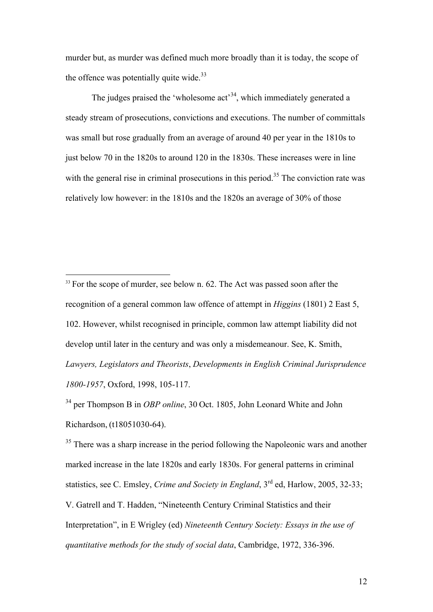murder but, as murder was defined much more broadly than it is today, the scope of the offence was potentially quite wide. $33$ 

The judges praised the 'wholesome  $act<sup>34</sup>$ , which immediately generated a steady stream of prosecutions, convictions and executions. The number of committals was small but rose gradually from an average of around 40 per year in the 1810s to just below 70 in the 1820s to around 120 in the 1830s. These increases were in line with the general rise in criminal prosecutions in this period.<sup>35</sup> The conviction rate was relatively low however: in the 1810s and the 1820s an average of 30% of those

<sup>34</sup> per Thompson B in *OBP online*, 30 Oct. 1805, John Leonard White and John Richardson, (t18051030-64).

<sup>35</sup> There was a sharp increase in the period following the Napoleonic wars and another marked increase in the late 1820s and early 1830s. For general patterns in criminal statistics, see C. Emsley, *Crime and Society in England*, 3<sup>rd</sup> ed, Harlow, 2005, 32-33; V. Gatrell and T. Hadden, "Nineteenth Century Criminal Statistics and their Interpretation", in E Wrigley (ed) *Nineteenth Century Society: Essays in the use of quantitative methods for the study of social data*, Cambridge, 1972, 336-396.

<sup>&</sup>lt;sup>33</sup> For the scope of murder, see below n. 62. The Act was passed soon after the recognition of a general common law offence of attempt in *Higgins* (1801) 2 East 5, 102. However, whilst recognised in principle, common law attempt liability did not develop until later in the century and was only a misdemeanour. See, K. Smith, *Lawyers, Legislators and Theorists*, *Developments in English Criminal Jurisprudence 1800-1957*, Oxford, 1998, 105-117.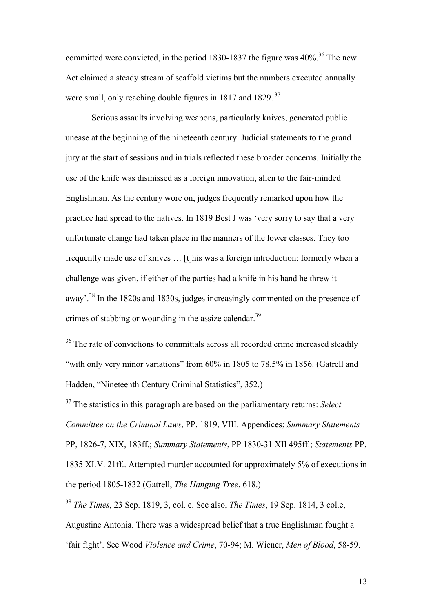committed were convicted, in the period 1830-1837 the figure was  $40\%$ .<sup>36</sup> The new Act claimed a steady stream of scaffold victims but the numbers executed annually were small, only reaching double figures in 1817 and 1829.<sup>37</sup>

Serious assaults involving weapons, particularly knives, generated public unease at the beginning of the nineteenth century. Judicial statements to the grand jury at the start of sessions and in trials reflected these broader concerns. Initially the use of the knife was dismissed as a foreign innovation, alien to the fair-minded Englishman. As the century wore on, judges frequently remarked upon how the practice had spread to the natives. In 1819 Best J was 'very sorry to say that a very unfortunate change had taken place in the manners of the lower classes. They too frequently made use of knives … [t]his was a foreign introduction: formerly when a challenge was given, if either of the parties had a knife in his hand he threw it away'.38 In the 1820s and 1830s, judges increasingly commented on the presence of crimes of stabbing or wounding in the assize calendar.<sup>39</sup>

37 The statistics in this paragraph are based on the parliamentary returns: *Select Committee on the Criminal Laws*, PP, 1819, VIII. Appendices; *Summary Statements* PP, 1826-7, XIX, 183ff.; *Summary Statements*, PP 1830-31 XII 495ff.; *Statements* PP, 1835 XLV. 21ff.. Attempted murder accounted for approximately 5% of executions in the period 1805-1832 (Gatrell, *The Hanging Tree*, 618.)

<sup>38</sup> *The Times*, 23 Sep. 1819, 3, col. e. See also, *The Times*, 19 Sep. 1814, 3 col.e, Augustine Antonia. There was a widespread belief that a true Englishman fought a

'fair fight'. See Wood *Violence and Crime*, 70-94; M. Wiener, *Men of Blood*, 58-59.

<sup>&</sup>lt;sup>36</sup> The rate of convictions to committals across all recorded crime increased steadily "with only very minor variations" from 60% in 1805 to 78.5% in 1856. (Gatrell and Hadden, "Nineteenth Century Criminal Statistics", 352.)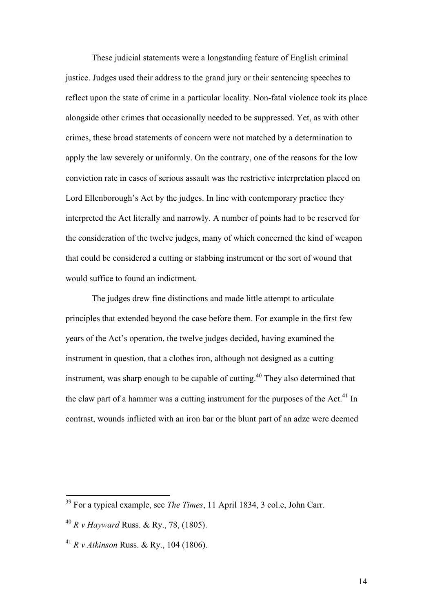These judicial statements were a longstanding feature of English criminal justice. Judges used their address to the grand jury or their sentencing speeches to reflect upon the state of crime in a particular locality. Non-fatal violence took its place alongside other crimes that occasionally needed to be suppressed. Yet, as with other crimes, these broad statements of concern were not matched by a determination to apply the law severely or uniformly. On the contrary, one of the reasons for the low conviction rate in cases of serious assault was the restrictive interpretation placed on Lord Ellenborough's Act by the judges. In line with contemporary practice they interpreted the Act literally and narrowly. A number of points had to be reserved for the consideration of the twelve judges, many of which concerned the kind of weapon that could be considered a cutting or stabbing instrument or the sort of wound that would suffice to found an indictment.

The judges drew fine distinctions and made little attempt to articulate principles that extended beyond the case before them. For example in the first few years of the Act's operation, the twelve judges decided, having examined the instrument in question, that a clothes iron, although not designed as a cutting instrument, was sharp enough to be capable of cutting.40 They also determined that the claw part of a hammer was a cutting instrument for the purposes of the Act.<sup>41</sup> In contrast, wounds inflicted with an iron bar or the blunt part of an adze were deemed

 <sup>39</sup> For a typical example, see *The Times*, 11 April 1834, 3 col.e, John Carr.

<sup>40</sup> *R v Hayward* Russ. & Ry., 78, (1805).

<sup>41</sup> *R v Atkinson* Russ. & Ry., 104 (1806).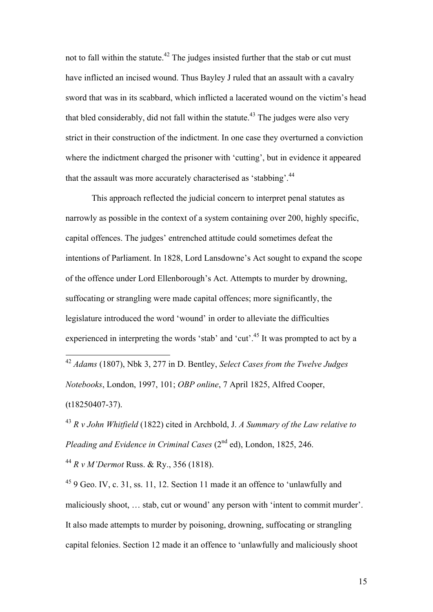not to fall within the statute.<sup>42</sup> The judges insisted further that the stab or cut must have inflicted an incised wound. Thus Bayley J ruled that an assault with a cavalry sword that was in its scabbard, which inflicted a lacerated wound on the victim's head that bled considerably, did not fall within the statute.<sup>43</sup> The judges were also very strict in their construction of the indictment. In one case they overturned a conviction where the indictment charged the prisoner with 'cutting', but in evidence it appeared that the assault was more accurately characterised as 'stabbing'.<sup>44</sup>

This approach reflected the judicial concern to interpret penal statutes as narrowly as possible in the context of a system containing over 200, highly specific, capital offences. The judges' entrenched attitude could sometimes defeat the intentions of Parliament. In 1828, Lord Lansdowne's Act sought to expand the scope of the offence under Lord Ellenborough's Act. Attempts to murder by drowning, suffocating or strangling were made capital offences; more significantly, the legislature introduced the word 'wound' in order to alleviate the difficulties experienced in interpreting the words 'stab' and 'cut'.<sup>45</sup> It was prompted to act by a

 42 *Adams* (1807), Nbk 3, 277 in D. Bentley, *Select Cases from the Twelve Judges Notebooks*, London, 1997, 101; *OBP online*, 7 April 1825, Alfred Cooper, (t18250407-37).

<sup>43</sup> *R v John Whitfield* (1822) cited in Archbold, J. *A Summary of the Law relative to Pleading and Evidence in Criminal Cases* (2<sup>nd</sup> ed), London, 1825, 246.

<sup>44</sup> *R v M'Dermot* Russ. & Ry., 356 (1818).

45 9 Geo. IV, c. 31, ss. 11, 12. Section 11 made it an offence to 'unlawfully and maliciously shoot, … stab, cut or wound' any person with 'intent to commit murder'. It also made attempts to murder by poisoning, drowning, suffocating or strangling capital felonies. Section 12 made it an offence to 'unlawfully and maliciously shoot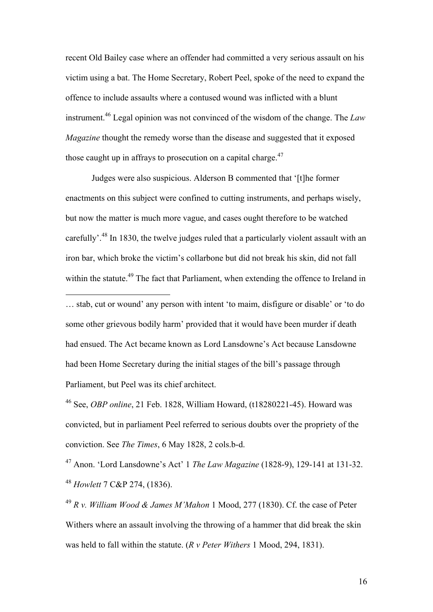recent Old Bailey case where an offender had committed a very serious assault on his victim using a bat. The Home Secretary, Robert Peel, spoke of the need to expand the offence to include assaults where a contused wound was inflicted with a blunt instrument.46 Legal opinion was not convinced of the wisdom of the change. The *Law Magazine* thought the remedy worse than the disease and suggested that it exposed those caught up in affrays to prosecution on a capital charge. $47$ 

Judges were also suspicious. Alderson B commented that '[t]he former enactments on this subject were confined to cutting instruments, and perhaps wisely, but now the matter is much more vague, and cases ought therefore to be watched carefully'.<sup>48</sup> In 1830, the twelve judges ruled that a particularly violent assault with an iron bar, which broke the victim's collarbone but did not break his skin, did not fall within the statute.<sup>49</sup> The fact that Parliament, when extending the offence to Ireland in

… stab, cut or wound' any person with intent 'to maim, disfigure or disable' or 'to do some other grievous bodily harm' provided that it would have been murder if death had ensued. The Act became known as Lord Lansdowne's Act because Lansdowne had been Home Secretary during the initial stages of the bill's passage through Parliament, but Peel was its chief architect.

 $\overline{a}$ 

46 See, *OBP online*, 21 Feb. 1828, William Howard, (t18280221-45). Howard was convicted, but in parliament Peel referred to serious doubts over the propriety of the conviction. See *The Times*, 6 May 1828, 2 cols.b-d.

47 Anon. 'Lord Lansdowne's Act' 1 *The Law Magazine* (1828-9), 129-141 at 131-32. <sup>48</sup> *Howlett* 7 C&P 274, (1836).

<sup>49</sup> *R v. William Wood & James M'Mahon* 1 Mood, 277 (1830). Cf. the case of Peter Withers where an assault involving the throwing of a hammer that did break the skin was held to fall within the statute. (*R v Peter Withers* 1 Mood, 294, 1831).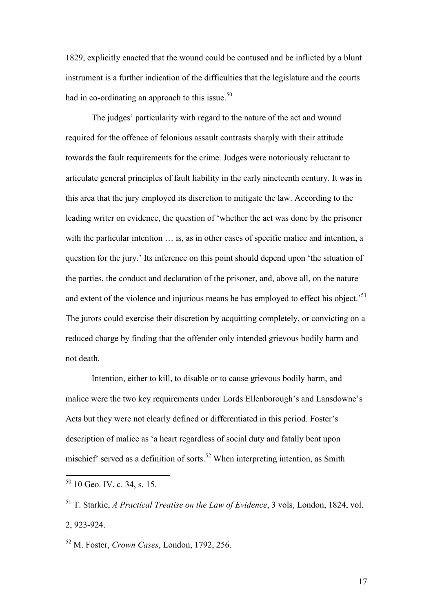1829, explicitly enacted that the wound could be contused and be inflicted by a blunt instrument is a further indication of the difficulties that the legislature and the courts had in co-ordinating an approach to this issue. $50$ 

The judges' particularity with regard to the nature of the act and wound required for the offence of felonious assault contrasts sharply with their attitude towards the fault requirements for the crime. Judges were notoriously reluctant to articulate general principles of fault liability in the early nineteenth century. It was in this area that the jury employed its discretion to mitigate the law. According to the leading writer on evidence, the question of 'whether the act was done by the prisoner with the particular intention  $\ldots$  is, as in other cases of specific malice and intention, a question for the jury.' Its inference on this point should depend upon 'the situation of the parties, the conduct and declaration of the prisoner, and, above all, on the nature and extent of the violence and injurious means he has employed to effect his object.<sup>51</sup> The jurors could exercise their discretion by acquitting completely, or convicting on a reduced charge by finding that the offender only intended grievous bodily harm and not death.

Intention, either to kill, to disable or to cause grievous bodily harm, and malice were the two key requirements under Lords Ellenborough's and Lansdowne's Acts but they were not clearly defined or differentiated in this period. Foster's description of malice as 'a heart regardless of social duty and fatally bent upon mischief' served as a definition of sorts.<sup>52</sup> When interpreting intention, as Smith

52 M. Foster, *Crown Cases*, London, 1792, 256.

17

 $50$  10 Geo. IV. c. 34, s. 15.

<sup>51</sup> T. Starkie, *A Practical Treatise on the Law of Evidence*, 3 vols, London, 1824, vol. 2, 923-924.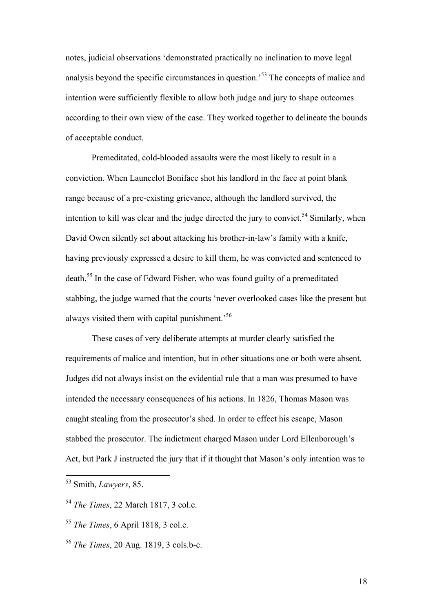notes, judicial observations 'demonstrated practically no inclination to move legal analysis beyond the specific circumstances in question.'53 The concepts of malice and intention were sufficiently flexible to allow both judge and jury to shape outcomes according to their own view of the case. They worked together to delineate the bounds of acceptable conduct.

Premeditated, cold-blooded assaults were the most likely to result in a conviction. When Launcelot Boniface shot his landlord in the face at point blank range because of a pre-existing grievance, although the landlord survived, the intention to kill was clear and the judge directed the jury to convict.<sup>54</sup> Similarly, when David Owen silently set about attacking his brother-in-law's family with a knife, having previously expressed a desire to kill them, he was convicted and sentenced to death.55 In the case of Edward Fisher, who was found guilty of a premeditated stabbing, the judge warned that the courts 'never overlooked cases like the present but always visited them with capital punishment.'56

These cases of very deliberate attempts at murder clearly satisfied the requirements of malice and intention, but in other situations one or both were absent. Judges did not always insist on the evidential rule that a man was presumed to have intended the necessary consequences of his actions. In 1826, Thomas Mason was caught stealing from the prosecutor's shed. In order to effect his escape, Mason stabbed the prosecutor. The indictment charged Mason under Lord Ellenborough's Act, but Park J instructed the jury that if it thought that Mason's only intention was to

 <sup>53</sup> Smith, *Lawyers*, 85.

<sup>54</sup> *The Times*, 22 March 1817, 3 col.e.

<sup>55</sup> *The Times*, 6 April 1818, 3 col.e.

<sup>56</sup> *The Times*, 20 Aug. 1819, 3 cols.b-c.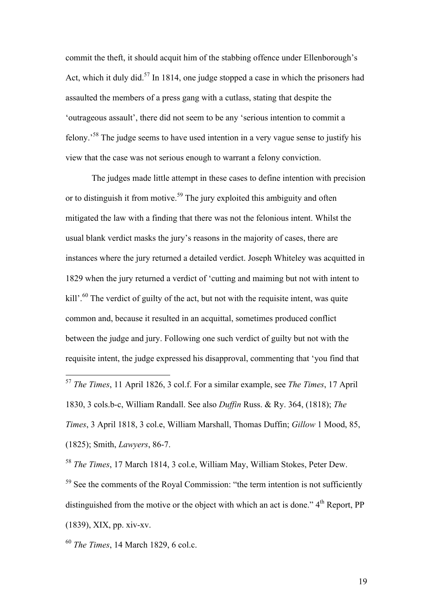commit the theft, it should acquit him of the stabbing offence under Ellenborough's Act, which it duly did.<sup>57</sup> In 1814, one judge stopped a case in which the prisoners had assaulted the members of a press gang with a cutlass, stating that despite the 'outrageous assault', there did not seem to be any 'serious intention to commit a felony.'58 The judge seems to have used intention in a very vague sense to justify his view that the case was not serious enough to warrant a felony conviction.

The judges made little attempt in these cases to define intention with precision or to distinguish it from motive.<sup>59</sup> The jury exploited this ambiguity and often mitigated the law with a finding that there was not the felonious intent. Whilst the usual blank verdict masks the jury's reasons in the majority of cases, there are instances where the jury returned a detailed verdict. Joseph Whiteley was acquitted in 1829 when the jury returned a verdict of 'cutting and maiming but not with intent to kill'.<sup>60</sup> The verdict of guilty of the act, but not with the requisite intent, was quite common and, because it resulted in an acquittal, sometimes produced conflict between the judge and jury. Following one such verdict of guilty but not with the requisite intent, the judge expressed his disapproval, commenting that 'you find that

<sup>58</sup> *The Times*, 17 March 1814, 3 col.e, William May, William Stokes, Peter Dew.

<sup>59</sup> See the comments of the Royal Commission: "the term intention is not sufficiently distinguished from the motive or the object with which an act is done."  $4<sup>th</sup>$  Report, PP (1839), XIX, pp. xiv-xv.

<sup>60</sup> *The Times*, 14 March 1829, 6 col.c.

 <sup>57</sup> *The Times*, 11 April 1826, 3 col.f. For a similar example, see *The Times*, 17 April 1830, 3 cols.b-c, William Randall. See also *Duffin* Russ. & Ry. 364, (1818); *The Times*, 3 April 1818, 3 col.e, William Marshall, Thomas Duffin; *Gillow* 1 Mood, 85, (1825); Smith, *Lawyers*, 86-7.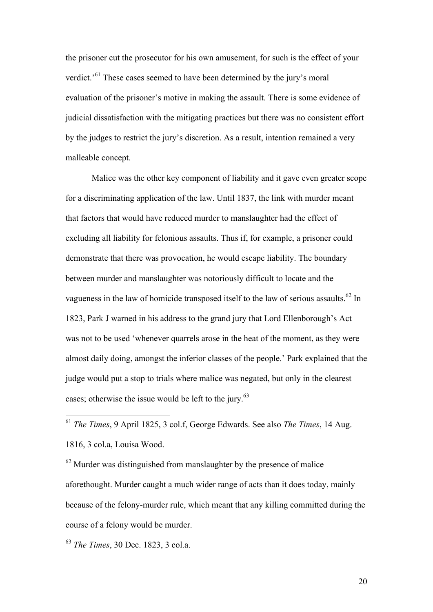the prisoner cut the prosecutor for his own amusement, for such is the effect of your verdict.'<sup>61</sup> These cases seemed to have been determined by the jury's moral evaluation of the prisoner's motive in making the assault. There is some evidence of judicial dissatisfaction with the mitigating practices but there was no consistent effort by the judges to restrict the jury's discretion. As a result, intention remained a very malleable concept.

Malice was the other key component of liability and it gave even greater scope for a discriminating application of the law. Until 1837, the link with murder meant that factors that would have reduced murder to manslaughter had the effect of excluding all liability for felonious assaults. Thus if, for example, a prisoner could demonstrate that there was provocation, he would escape liability. The boundary between murder and manslaughter was notoriously difficult to locate and the vagueness in the law of homicide transposed itself to the law of serious assaults.<sup>62</sup> In 1823, Park J warned in his address to the grand jury that Lord Ellenborough's Act was not to be used 'whenever quarrels arose in the heat of the moment, as they were almost daily doing, amongst the inferior classes of the people.' Park explained that the judge would put a stop to trials where malice was negated, but only in the clearest cases; otherwise the issue would be left to the jury.<sup>63</sup>

 61 *The Times*, 9 April 1825, 3 col.f, George Edwards. See also *The Times*, 14 Aug. 1816, 3 col.a, Louisa Wood.

<sup>62</sup> Murder was distinguished from manslaughter by the presence of malice aforethought. Murder caught a much wider range of acts than it does today, mainly because of the felony-murder rule, which meant that any killing committed during the course of a felony would be murder.

<sup>63</sup> *The Times*, 30 Dec. 1823, 3 col.a.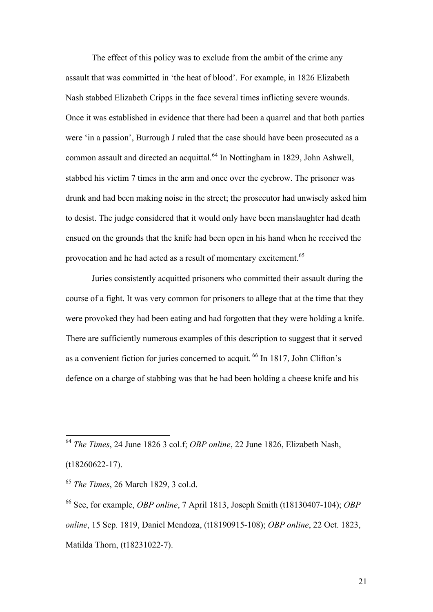The effect of this policy was to exclude from the ambit of the crime any assault that was committed in 'the heat of blood'. For example, in 1826 Elizabeth Nash stabbed Elizabeth Cripps in the face several times inflicting severe wounds. Once it was established in evidence that there had been a quarrel and that both parties were 'in a passion', Burrough J ruled that the case should have been prosecuted as a common assault and directed an acquittal.<sup>64</sup> In Nottingham in 1829, John Ashwell, stabbed his victim 7 times in the arm and once over the eyebrow. The prisoner was drunk and had been making noise in the street; the prosecutor had unwisely asked him to desist. The judge considered that it would only have been manslaughter had death ensued on the grounds that the knife had been open in his hand when he received the provocation and he had acted as a result of momentary excitement.<sup>65</sup>

Juries consistently acquitted prisoners who committed their assault during the course of a fight. It was very common for prisoners to allege that at the time that they were provoked they had been eating and had forgotten that they were holding a knife. There are sufficiently numerous examples of this description to suggest that it served as a convenient fiction for juries concerned to acquit. 66 In 1817, John Clifton's defence on a charge of stabbing was that he had been holding a cheese knife and his

 <sup>64</sup> *The Times*, 24 June 1826 3 col.f; *OBP online*, 22 June 1826, Elizabeth Nash, (t18260622-17).

<sup>65</sup> *The Times*, 26 March 1829, 3 col.d.

<sup>66</sup> See, for example, *OBP online*, 7 April 1813, Joseph Smith (t18130407-104); *OBP online*, 15 Sep. 1819, Daniel Mendoza, (t18190915-108); *OBP online*, 22 Oct. 1823, Matilda Thorn, (t18231022-7).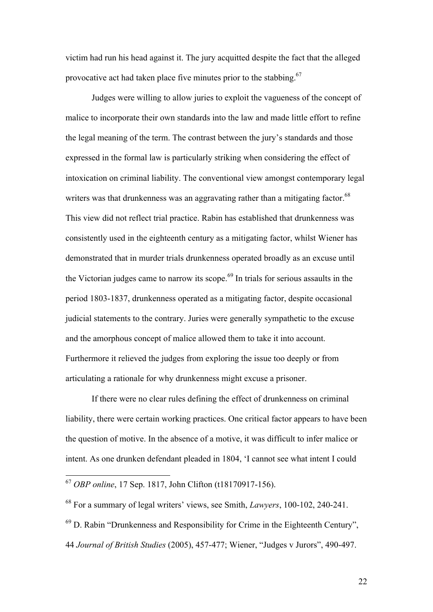victim had run his head against it. The jury acquitted despite the fact that the alleged provocative act had taken place five minutes prior to the stabbing.<sup>67</sup>

Judges were willing to allow juries to exploit the vagueness of the concept of malice to incorporate their own standards into the law and made little effort to refine the legal meaning of the term. The contrast between the jury's standards and those expressed in the formal law is particularly striking when considering the effect of intoxication on criminal liability. The conventional view amongst contemporary legal writers was that drunkenness was an aggravating rather than a mitigating factor.<sup>68</sup> This view did not reflect trial practice. Rabin has established that drunkenness was consistently used in the eighteenth century as a mitigating factor, whilst Wiener has demonstrated that in murder trials drunkenness operated broadly as an excuse until the Victorian judges came to narrow its scope.<sup>69</sup> In trials for serious assaults in the period 1803-1837, drunkenness operated as a mitigating factor, despite occasional judicial statements to the contrary. Juries were generally sympathetic to the excuse and the amorphous concept of malice allowed them to take it into account. Furthermore it relieved the judges from exploring the issue too deeply or from articulating a rationale for why drunkenness might excuse a prisoner.

If there were no clear rules defining the effect of drunkenness on criminal liability, there were certain working practices. One critical factor appears to have been the question of motive. In the absence of a motive, it was difficult to infer malice or intent. As one drunken defendant pleaded in 1804, 'I cannot see what intent I could

 <sup>67</sup> *OBP online*, 17 Sep. 1817, John Clifton (t18170917-156).

<sup>68</sup> For a summary of legal writers' views, see Smith, *Lawyers*, 100-102, 240-241.

 $69$  D. Rabin "Drunkenness and Responsibility for Crime in the Eighteenth Century". 44 *Journal of British Studies* (2005), 457-477; Wiener, "Judges v Jurors", 490-497.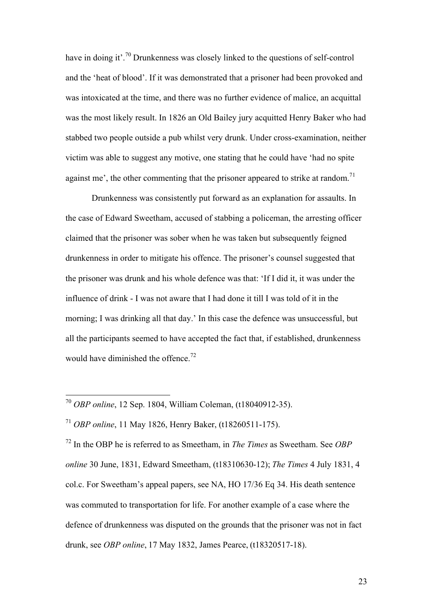have in doing it'.<sup>70</sup> Drunkenness was closely linked to the questions of self-control and the 'heat of blood'. If it was demonstrated that a prisoner had been provoked and was intoxicated at the time, and there was no further evidence of malice, an acquittal was the most likely result. In 1826 an Old Bailey jury acquitted Henry Baker who had stabbed two people outside a pub whilst very drunk. Under cross-examination, neither victim was able to suggest any motive, one stating that he could have 'had no spite against me', the other commenting that the prisoner appeared to strike at random.<sup>71</sup>

Drunkenness was consistently put forward as an explanation for assaults. In the case of Edward Sweetham, accused of stabbing a policeman, the arresting officer claimed that the prisoner was sober when he was taken but subsequently feigned drunkenness in order to mitigate his offence. The prisoner's counsel suggested that the prisoner was drunk and his whole defence was that: 'If I did it, it was under the influence of drink - I was not aware that I had done it till I was told of it in the morning; I was drinking all that day.' In this case the defence was unsuccessful, but all the participants seemed to have accepted the fact that, if established, drunkenness would have diminished the offence.<sup>72</sup>

72 In the OBP he is referred to as Smeetham, in *The Times* as Sweetham. See *OBP online* 30 June, 1831, Edward Smeetham, (t18310630-12); *The Times* 4 July 1831, 4 col.c. For Sweetham's appeal papers, see NA, HO 17/36 Eq 34. His death sentence was commuted to transportation for life. For another example of a case where the defence of drunkenness was disputed on the grounds that the prisoner was not in fact drunk, see *OBP online*, 17 May 1832, James Pearce, (t18320517-18).

 <sup>70</sup> *OBP online*, 12 Sep. 1804, William Coleman, (t18040912-35).

<sup>71</sup> *OBP online*, 11 May 1826, Henry Baker, (t18260511-175).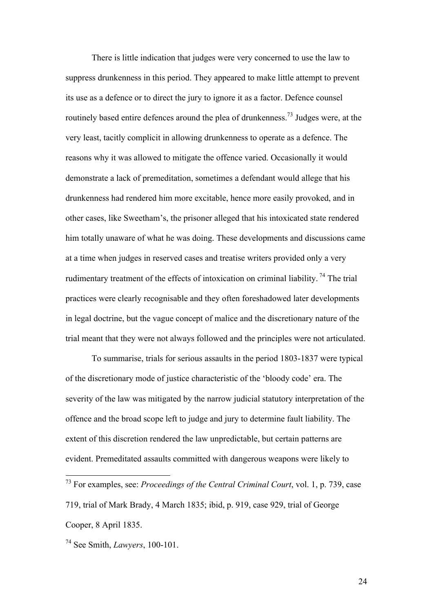There is little indication that judges were very concerned to use the law to suppress drunkenness in this period. They appeared to make little attempt to prevent its use as a defence or to direct the jury to ignore it as a factor. Defence counsel routinely based entire defences around the plea of drunkenness.<sup>73</sup> Judges were, at the very least, tacitly complicit in allowing drunkenness to operate as a defence. The reasons why it was allowed to mitigate the offence varied. Occasionally it would demonstrate a lack of premeditation, sometimes a defendant would allege that his drunkenness had rendered him more excitable, hence more easily provoked, and in other cases, like Sweetham's, the prisoner alleged that his intoxicated state rendered him totally unaware of what he was doing. These developments and discussions came at a time when judges in reserved cases and treatise writers provided only a very rudimentary treatment of the effects of intoxication on criminal liability.<sup>74</sup> The trial practices were clearly recognisable and they often foreshadowed later developments in legal doctrine, but the vague concept of malice and the discretionary nature of the trial meant that they were not always followed and the principles were not articulated.

To summarise, trials for serious assaults in the period 1803-1837 were typical of the discretionary mode of justice characteristic of the 'bloody code' era. The severity of the law was mitigated by the narrow judicial statutory interpretation of the offence and the broad scope left to judge and jury to determine fault liability. The extent of this discretion rendered the law unpredictable, but certain patterns are evident. Premeditated assaults committed with dangerous weapons were likely to

 <sup>73</sup> For examples, see: *Proceedings of the Central Criminal Court*, vol. 1, p. 739, case 719, trial of Mark Brady, 4 March 1835; ibid, p. 919, case 929, trial of George Cooper, 8 April 1835.

<sup>74</sup> See Smith, *Lawyers*, 100-101.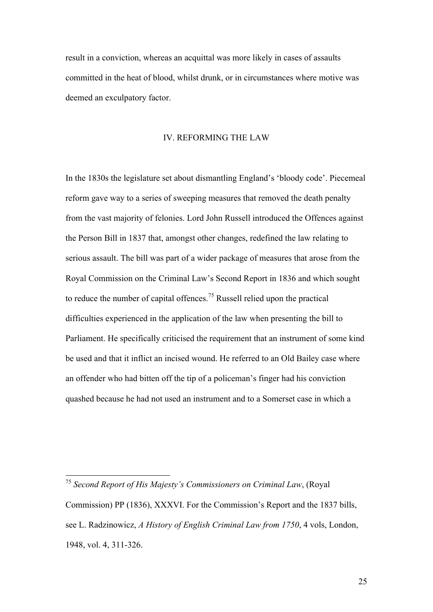result in a conviction, whereas an acquittal was more likely in cases of assaults committed in the heat of blood, whilst drunk, or in circumstances where motive was deemed an exculpatory factor.

### IV. REFORMING THE LAW

In the 1830s the legislature set about dismantling England's 'bloody code'. Piecemeal reform gave way to a series of sweeping measures that removed the death penalty from the vast majority of felonies. Lord John Russell introduced the Offences against the Person Bill in 1837 that, amongst other changes, redefined the law relating to serious assault. The bill was part of a wider package of measures that arose from the Royal Commission on the Criminal Law's Second Report in 1836 and which sought to reduce the number of capital offences.75 Russell relied upon the practical difficulties experienced in the application of the law when presenting the bill to Parliament. He specifically criticised the requirement that an instrument of some kind be used and that it inflict an incised wound. He referred to an Old Bailey case where an offender who had bitten off the tip of a policeman's finger had his conviction quashed because he had not used an instrument and to a Somerset case in which a

 <sup>75</sup> *Second Report of His Majesty's Commissioners on Criminal Law*, (Royal Commission) PP (1836), XXXVI. For the Commission's Report and the 1837 bills, see L. Radzinowicz, *A History of English Criminal Law from 1750*, 4 vols, London, 1948, vol. 4, 311-326.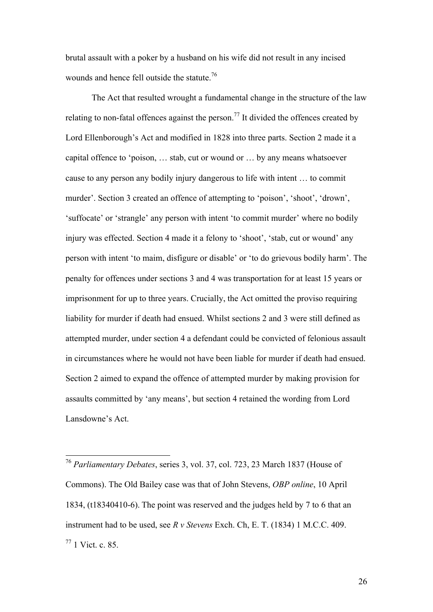brutal assault with a poker by a husband on his wife did not result in any incised wounds and hence fell outside the statute.<sup>76</sup>

The Act that resulted wrought a fundamental change in the structure of the law relating to non-fatal offences against the person.<sup>77</sup> It divided the offences created by Lord Ellenborough's Act and modified in 1828 into three parts. Section 2 made it a capital offence to 'poison, … stab, cut or wound or … by any means whatsoever cause to any person any bodily injury dangerous to life with intent … to commit murder'. Section 3 created an offence of attempting to 'poison', 'shoot', 'drown', 'suffocate' or 'strangle' any person with intent 'to commit murder' where no bodily injury was effected. Section 4 made it a felony to 'shoot', 'stab, cut or wound' any person with intent 'to maim, disfigure or disable' or 'to do grievous bodily harm'. The penalty for offences under sections 3 and 4 was transportation for at least 15 years or imprisonment for up to three years. Crucially, the Act omitted the proviso requiring liability for murder if death had ensued. Whilst sections 2 and 3 were still defined as attempted murder, under section 4 a defendant could be convicted of felonious assault in circumstances where he would not have been liable for murder if death had ensued. Section 2 aimed to expand the offence of attempted murder by making provision for assaults committed by 'any means', but section 4 retained the wording from Lord Lansdowne's Act.

 76 *Parliamentary Debates*, series 3, vol. 37, col. 723, 23 March 1837 (House of Commons). The Old Bailey case was that of John Stevens, *OBP online*, 10 April 1834, (t18340410-6). The point was reserved and the judges held by 7 to 6 that an instrument had to be used, see *R v Stevens* Exch. Ch, E. T. (1834) 1 M.C.C. 409.  $77$  1 Vict. c. 85.

26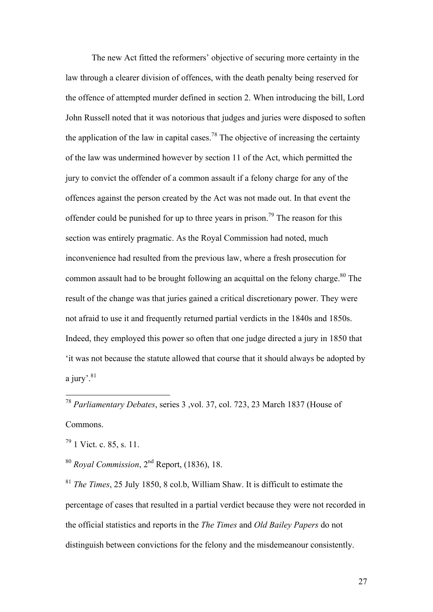The new Act fitted the reformers' objective of securing more certainty in the law through a clearer division of offences, with the death penalty being reserved for the offence of attempted murder defined in section 2. When introducing the bill, Lord John Russell noted that it was notorious that judges and juries were disposed to soften the application of the law in capital cases.<sup>78</sup> The objective of increasing the certainty of the law was undermined however by section 11 of the Act, which permitted the jury to convict the offender of a common assault if a felony charge for any of the offences against the person created by the Act was not made out. In that event the offender could be punished for up to three years in prison.<sup>79</sup> The reason for this section was entirely pragmatic. As the Royal Commission had noted, much inconvenience had resulted from the previous law, where a fresh prosecution for common assault had to be brought following an acquittal on the felony charge.<sup>80</sup> The result of the change was that juries gained a critical discretionary power. They were not afraid to use it and frequently returned partial verdicts in the 1840s and 1850s. Indeed, they employed this power so often that one judge directed a jury in 1850 that 'it was not because the statute allowed that course that it should always be adopted by a jury'. $81$ 

 78 *Parliamentary Debates*, series 3 ,vol. 37, col. 723, 23 March 1837 (House of Commons.

 $79$  1 Vict. c. 85, s. 11.

<sup>80</sup> *Royal Commission*, 2nd Report, (1836), 18.

<sup>81</sup> *The Times*, 25 July 1850, 8 col.b, William Shaw. It is difficult to estimate the percentage of cases that resulted in a partial verdict because they were not recorded in the official statistics and reports in the *The Times* and *Old Bailey Papers* do not distinguish between convictions for the felony and the misdemeanour consistently.

27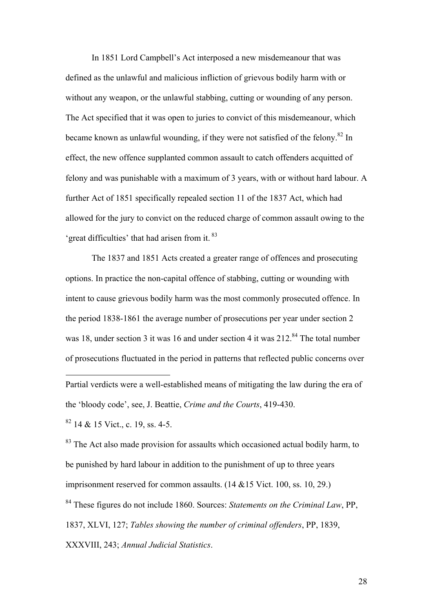In 1851 Lord Campbell's Act interposed a new misdemeanour that was defined as the unlawful and malicious infliction of grievous bodily harm with or without any weapon, or the unlawful stabbing, cutting or wounding of any person. The Act specified that it was open to juries to convict of this misdemeanour, which became known as unlawful wounding, if they were not satisfied of the felony.<sup>82</sup> In effect, the new offence supplanted common assault to catch offenders acquitted of felony and was punishable with a maximum of 3 years, with or without hard labour. A further Act of 1851 specifically repealed section 11 of the 1837 Act, which had allowed for the jury to convict on the reduced charge of common assault owing to the 'great difficulties' that had arisen from it. <sup>83</sup>

The 1837 and 1851 Acts created a greater range of offences and prosecuting options. In practice the non-capital offence of stabbing, cutting or wounding with intent to cause grievous bodily harm was the most commonly prosecuted offence. In the period 1838-1861 the average number of prosecutions per year under section 2 was 18, under section 3 it was 16 and under section 4 it was  $212^{84}$  The total number of prosecutions fluctuated in the period in patterns that reflected public concerns over

Partial verdicts were a well-established means of mitigating the law during the era of the 'bloody code', see, J. Beattie, *Crime and the Courts*, 419-430.

 $82$  14 & 15 Vict., c. 19, ss. 4-5.

 $\overline{a}$ 

<sup>83</sup> The Act also made provision for assaults which occasioned actual bodily harm, to be punished by hard labour in addition to the punishment of up to three years imprisonment reserved for common assaults. (14 &15 Vict. 100, ss. 10, 29.) 84 These figures do not include 1860. Sources: *Statements on the Criminal Law*, PP, 1837, XLVI, 127; *Tables showing the number of criminal offenders*, PP, 1839, XXXVIII, 243; *Annual Judicial Statistics*.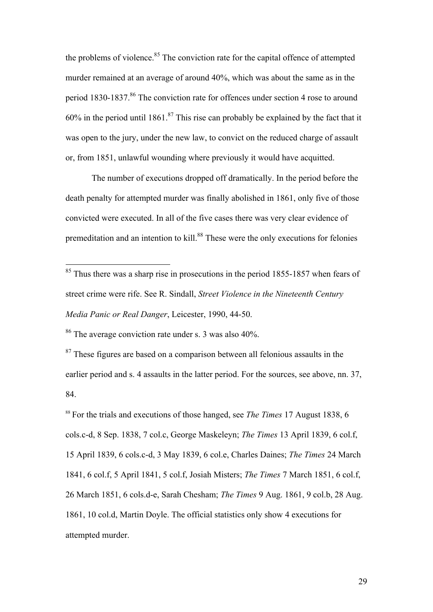the problems of violence.<sup>85</sup> The conviction rate for the capital offence of attempted murder remained at an average of around 40%, which was about the same as in the period 1830-1837.<sup>86</sup> The conviction rate for offences under section 4 rose to around 60% in the period until 1861.<sup>87</sup> This rise can probably be explained by the fact that it was open to the jury, under the new law, to convict on the reduced charge of assault or, from 1851, unlawful wounding where previously it would have acquitted.

The number of executions dropped off dramatically. In the period before the death penalty for attempted murder was finally abolished in 1861, only five of those convicted were executed. In all of the five cases there was very clear evidence of premeditation and an intention to kill.<sup>88</sup> These were the only executions for felonies

86 The average conviction rate under s. 3 was also 40%.

 $87$  These figures are based on a comparison between all felonious assaults in the earlier period and s. 4 assaults in the latter period. For the sources, see above, nn. 37, 84.

<sup>88</sup> For the trials and executions of those hanged, see *The Times* 17 August 1838, 6 cols.c-d, 8 Sep. 1838, 7 col.c, George Maskeleyn; *The Times* 13 April 1839, 6 col.f, 15 April 1839, 6 cols.c-d, 3 May 1839, 6 col.e, Charles Daines; *The Times* 24 March 1841, 6 col.f, 5 April 1841, 5 col.f, Josiah Misters; *The Times* 7 March 1851, 6 col.f, 26 March 1851, 6 cols.d-e, Sarah Chesham; *The Times* 9 Aug. 1861, 9 col.b, 28 Aug. 1861, 10 col.d, Martin Doyle. The official statistics only show 4 executions for attempted murder.

<sup>&</sup>lt;sup>85</sup> Thus there was a sharp rise in prosecutions in the period 1855-1857 when fears of street crime were rife. See R. Sindall, *Street Violence in the Nineteenth Century Media Panic or Real Danger*, Leicester, 1990, 44-50.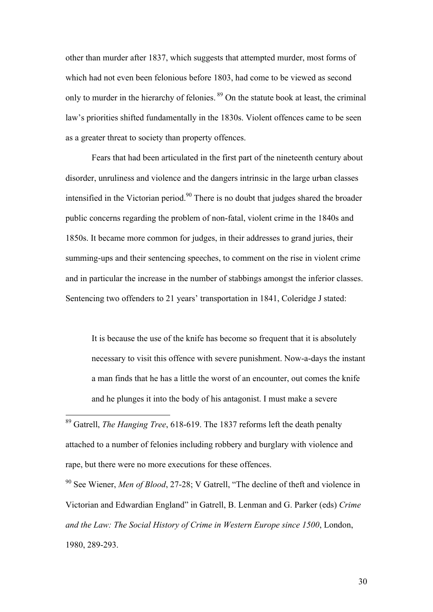other than murder after 1837, which suggests that attempted murder, most forms of which had not even been felonious before 1803, had come to be viewed as second only to murder in the hierarchy of felonies. 89 On the statute book at least, the criminal law's priorities shifted fundamentally in the 1830s. Violent offences came to be seen as a greater threat to society than property offences.

Fears that had been articulated in the first part of the nineteenth century about disorder, unruliness and violence and the dangers intrinsic in the large urban classes intensified in the Victorian period.<sup>90</sup> There is no doubt that judges shared the broader public concerns regarding the problem of non-fatal, violent crime in the 1840s and 1850s. It became more common for judges, in their addresses to grand juries, their summing-ups and their sentencing speeches, to comment on the rise in violent crime and in particular the increase in the number of stabbings amongst the inferior classes. Sentencing two offenders to 21 years' transportation in 1841, Coleridge J stated:

It is because the use of the knife has become so frequent that it is absolutely necessary to visit this offence with severe punishment. Now-a-days the instant a man finds that he has a little the worst of an encounter, out comes the knife and he plunges it into the body of his antagonist. I must make a severe

 89 Gatrell, *The Hanging Tree*, 618-619. The 1837 reforms left the death penalty attached to a number of felonies including robbery and burglary with violence and rape, but there were no more executions for these offences.

90 See Wiener, *Men of Blood*, 27-28; V Gatrell, "The decline of theft and violence in Victorian and Edwardian England" in Gatrell, B. Lenman and G. Parker (eds) *Crime and the Law: The Social History of Crime in Western Europe since 1500*, London, 1980, 289-293.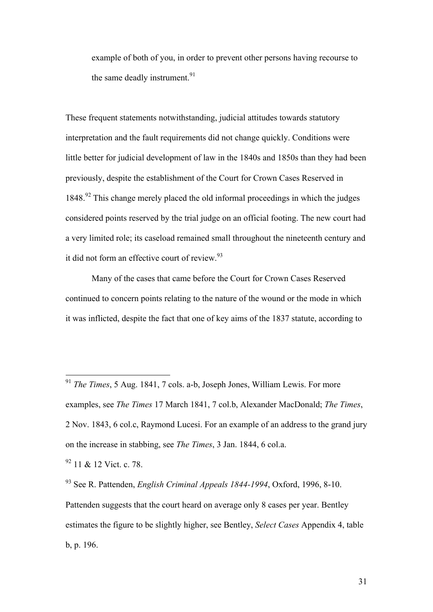example of both of you, in order to prevent other persons having recourse to the same deadly instrument.<sup>91</sup>

These frequent statements notwithstanding, judicial attitudes towards statutory interpretation and the fault requirements did not change quickly. Conditions were little better for judicial development of law in the 1840s and 1850s than they had been previously, despite the establishment of the Court for Crown Cases Reserved in  $1848<sup>92</sup>$  This change merely placed the old informal proceedings in which the judges considered points reserved by the trial judge on an official footing. The new court had a very limited role; its caseload remained small throughout the nineteenth century and it did not form an effective court of review.<sup>93</sup>

Many of the cases that came before the Court for Crown Cases Reserved continued to concern points relating to the nature of the wound or the mode in which it was inflicted, despite the fact that one of key aims of the 1837 statute, according to

93 See R. Pattenden, *English Criminal Appeals 1844-1994*, Oxford, 1996, 8-10. Pattenden suggests that the court heard on average only 8 cases per year. Bentley estimates the figure to be slightly higher, see Bentley, *Select Cases* Appendix 4, table b, p. 196.

 <sup>91</sup> *The Times*, 5 Aug. 1841, 7 cols. a-b, Joseph Jones, William Lewis. For more examples, see *The Times* 17 March 1841, 7 col.b, Alexander MacDonald; *The Times*, 2 Nov. 1843, 6 col.c, Raymond Lucesi. For an example of an address to the grand jury on the increase in stabbing, see *The Times*, 3 Jan. 1844, 6 col.a.

<sup>&</sup>lt;sup>92</sup> 11 & 12 Vict. c. 78.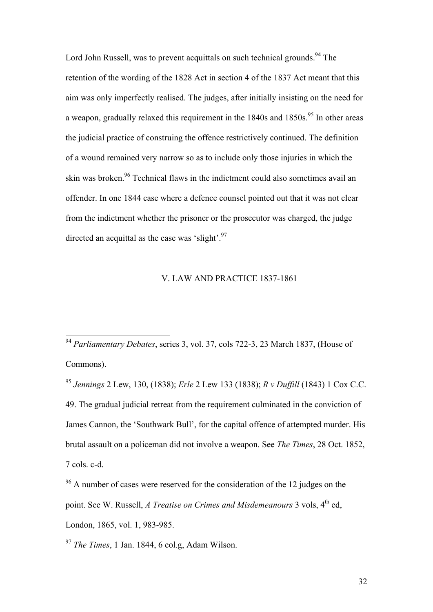Lord John Russell, was to prevent acquittals on such technical grounds.<sup>94</sup> The retention of the wording of the 1828 Act in section 4 of the 1837 Act meant that this aim was only imperfectly realised. The judges, after initially insisting on the need for a weapon, gradually relaxed this requirement in the  $1840s$  and  $1850s$ .<sup>95</sup> In other areas the judicial practice of construing the offence restrictively continued. The definition of a wound remained very narrow so as to include only those injuries in which the skin was broken.<sup>96</sup> Technical flaws in the indictment could also sometimes avail an offender. In one 1844 case where a defence counsel pointed out that it was not clear from the indictment whether the prisoner or the prosecutor was charged, the judge directed an acquittal as the case was 'slight'.<sup>97</sup>

## V. LAW AND PRACTICE 1837-1861

 94 *Parliamentary Debates*, series 3, vol. 37, cols 722-3, 23 March 1837, (House of Commons).

<sup>95</sup> *Jennings* 2 Lew, 130, (1838); *Erle* 2 Lew 133 (1838); *R v Duffill* (1843) 1 Cox C.C. 49. The gradual judicial retreat from the requirement culminated in the conviction of James Cannon, the 'Southwark Bull', for the capital offence of attempted murder. His brutal assault on a policeman did not involve a weapon. See *The Times*, 28 Oct. 1852, 7 cols. c-d.

<sup>&</sup>lt;sup>96</sup> A number of cases were reserved for the consideration of the 12 judges on the point. See W. Russell, *A Treatise on Crimes and Misdemeanours* 3 vols, 4<sup>th</sup> ed, London, 1865, vol. 1, 983-985.

<sup>97</sup> *The Times*, 1 Jan. 1844, 6 col.g, Adam Wilson.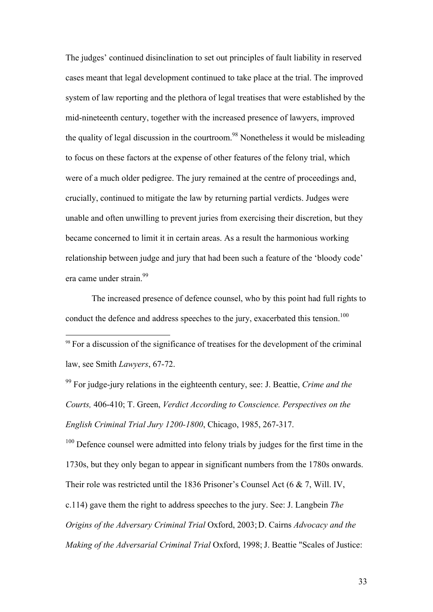The judges' continued disinclination to set out principles of fault liability in reserved cases meant that legal development continued to take place at the trial. The improved system of law reporting and the plethora of legal treatises that were established by the mid-nineteenth century, together with the increased presence of lawyers, improved the quality of legal discussion in the courtroom.<sup>98</sup> Nonetheless it would be misleading to focus on these factors at the expense of other features of the felony trial, which were of a much older pedigree. The jury remained at the centre of proceedings and, crucially, continued to mitigate the law by returning partial verdicts. Judges were unable and often unwilling to prevent juries from exercising their discretion, but they became concerned to limit it in certain areas. As a result the harmonious working relationship between judge and jury that had been such a feature of the 'bloody code' era came under strain.<sup>99</sup>

The increased presence of defence counsel, who by this point had full rights to conduct the defence and address speeches to the jury, exacerbated this tension.<sup>100</sup>

<sup>98</sup> For a discussion of the significance of treatises for the development of the criminal law, see Smith *Lawyers*, 67-72.

99 For judge-jury relations in the eighteenth century, see: J. Beattie, *Crime and the Courts,* 406-410; T. Green, *Verdict According to Conscience. Perspectives on the English Criminal Trial Jury 1200-1800*, Chicago, 1985, 267-317.

 $100$  Defence counsel were admitted into felony trials by judges for the first time in the 1730s, but they only began to appear in significant numbers from the 1780s onwards. Their role was restricted until the 1836 Prisoner's Counsel Act (6 & 7, Will. IV, c.114) gave them the right to address speeches to the jury. See: J. Langbein *The Origins of the Adversary Criminal Trial* Oxford, 2003;D. Cairns *Advocacy and the Making of the Adversarial Criminal Trial* Oxford, 1998; J. Beattie "Scales of Justice: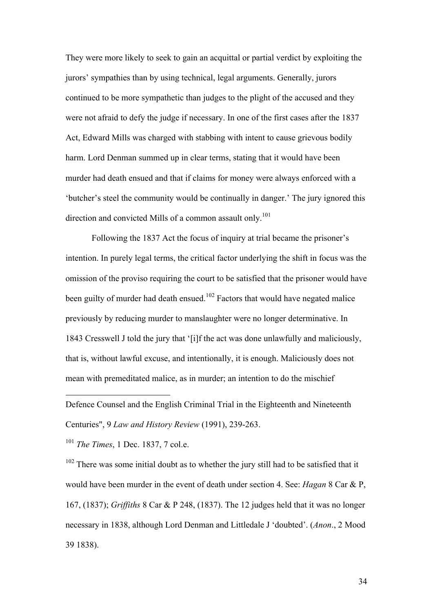They were more likely to seek to gain an acquittal or partial verdict by exploiting the jurors' sympathies than by using technical, legal arguments. Generally, jurors continued to be more sympathetic than judges to the plight of the accused and they were not afraid to defy the judge if necessary. In one of the first cases after the 1837 Act, Edward Mills was charged with stabbing with intent to cause grievous bodily harm. Lord Denman summed up in clear terms, stating that it would have been murder had death ensued and that if claims for money were always enforced with a 'butcher's steel the community would be continually in danger.' The jury ignored this direction and convicted Mills of a common assault only.<sup>101</sup>

Following the 1837 Act the focus of inquiry at trial became the prisoner's intention. In purely legal terms, the critical factor underlying the shift in focus was the omission of the proviso requiring the court to be satisfied that the prisoner would have been guilty of murder had death ensued.<sup>102</sup> Factors that would have negated malice previously by reducing murder to manslaughter were no longer determinative. In 1843 Cresswell J told the jury that '[i]f the act was done unlawfully and maliciously, that is, without lawful excuse, and intentionally, it is enough. Maliciously does not mean with premeditated malice, as in murder; an intention to do the mischief

Defence Counsel and the English Criminal Trial in the Eighteenth and Nineteenth Centuries", 9 *Law and History Review* (1991), 239-263.

<sup>101</sup> *The Times*, 1 Dec. 1837, 7 col.e.

 $\overline{a}$ 

 $102$  There was some initial doubt as to whether the jury still had to be satisfied that it would have been murder in the event of death under section 4. See: *Hagan* 8 Car & P, 167, (1837); *Griffiths* 8 Car & P 248, (1837). The 12 judges held that it was no longer necessary in 1838, although Lord Denman and Littledale J 'doubted'. (*Anon*., 2 Mood 39 1838).

34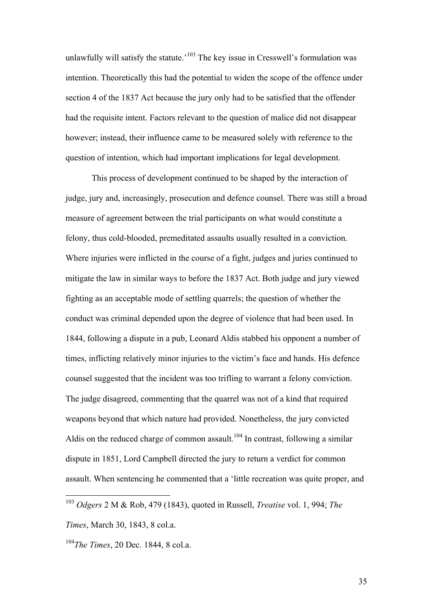unlawfully will satisfy the statute.<sup> $103$ </sup> The key issue in Cresswell's formulation was intention. Theoretically this had the potential to widen the scope of the offence under section 4 of the 1837 Act because the jury only had to be satisfied that the offender had the requisite intent. Factors relevant to the question of malice did not disappear however; instead, their influence came to be measured solely with reference to the question of intention, which had important implications for legal development.

This process of development continued to be shaped by the interaction of judge, jury and, increasingly, prosecution and defence counsel. There was still a broad measure of agreement between the trial participants on what would constitute a felony, thus cold-blooded, premeditated assaults usually resulted in a conviction. Where injuries were inflicted in the course of a fight, judges and juries continued to mitigate the law in similar ways to before the 1837 Act. Both judge and jury viewed fighting as an acceptable mode of settling quarrels; the question of whether the conduct was criminal depended upon the degree of violence that had been used. In 1844, following a dispute in a pub, Leonard Aldis stabbed his opponent a number of times, inflicting relatively minor injuries to the victim's face and hands. His defence counsel suggested that the incident was too trifling to warrant a felony conviction. The judge disagreed, commenting that the quarrel was not of a kind that required weapons beyond that which nature had provided. Nonetheless, the jury convicted Aldis on the reduced charge of common assault.<sup>104</sup> In contrast, following a similar dispute in 1851, Lord Campbell directed the jury to return a verdict for common assault. When sentencing he commented that a 'little recreation was quite proper, and

 <sup>103</sup> *Odgers* 2 M & Rob, 479 (1843), quoted in Russell, *Treatise* vol. 1, 994; *The Times*, March 30, 1843, 8 col.a.

<sup>104</sup>*The Times*, 20 Dec. 1844, 8 col.a.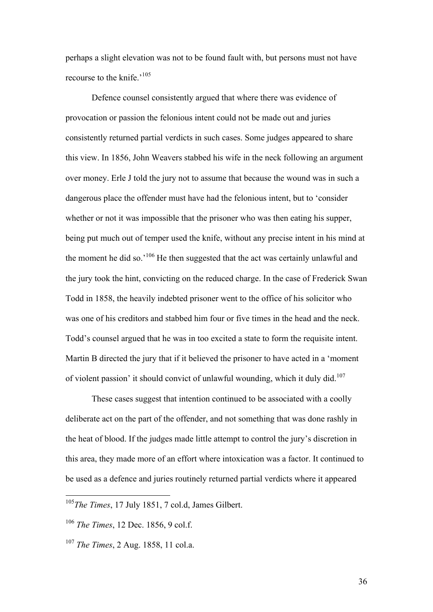perhaps a slight elevation was not to be found fault with, but persons must not have recourse to the knife<sup> $,105$ </sup>

Defence counsel consistently argued that where there was evidence of provocation or passion the felonious intent could not be made out and juries consistently returned partial verdicts in such cases. Some judges appeared to share this view. In 1856, John Weavers stabbed his wife in the neck following an argument over money. Erle J told the jury not to assume that because the wound was in such a dangerous place the offender must have had the felonious intent, but to 'consider whether or not it was impossible that the prisoner who was then eating his supper, being put much out of temper used the knife, without any precise intent in his mind at the moment he did so.'106 He then suggested that the act was certainly unlawful and the jury took the hint, convicting on the reduced charge. In the case of Frederick Swan Todd in 1858, the heavily indebted prisoner went to the office of his solicitor who was one of his creditors and stabbed him four or five times in the head and the neck. Todd's counsel argued that he was in too excited a state to form the requisite intent. Martin B directed the jury that if it believed the prisoner to have acted in a 'moment of violent passion' it should convict of unlawful wounding, which it duly did.<sup>107</sup>

These cases suggest that intention continued to be associated with a coolly deliberate act on the part of the offender, and not something that was done rashly in the heat of blood. If the judges made little attempt to control the jury's discretion in this area, they made more of an effort where intoxication was a factor. It continued to be used as a defence and juries routinely returned partial verdicts where it appeared

36

 <sup>105</sup>*The Times*, 17 July 1851, 7 col.d, James Gilbert.

<sup>106</sup> *The Times*, 12 Dec. 1856, 9 col.f.

<sup>107</sup> *The Times*, 2 Aug. 1858, 11 col.a.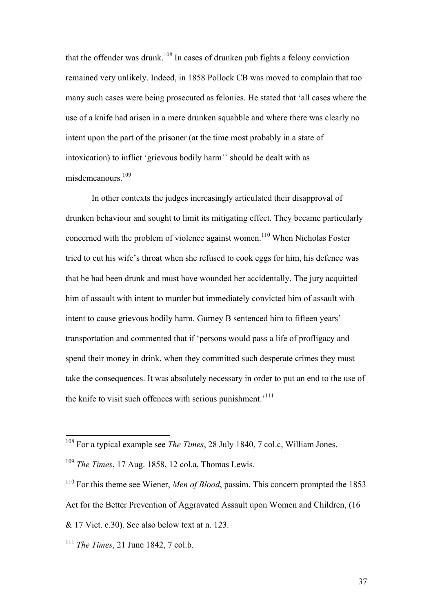that the offender was drunk.<sup>108</sup> In cases of drunken pub fights a felony conviction remained very unlikely. Indeed, in 1858 Pollock CB was moved to complain that too many such cases were being prosecuted as felonies. He stated that 'all cases where the use of a knife had arisen in a mere drunken squabble and where there was clearly no intent upon the part of the prisoner (at the time most probably in a state of intoxication) to inflict 'grievous bodily harm'' should be dealt with as misdemeanours.<sup>109</sup>

In other contexts the judges increasingly articulated their disapproval of drunken behaviour and sought to limit its mitigating effect. They became particularly concerned with the problem of violence against women.<sup>110</sup> When Nicholas Foster tried to cut his wife's throat when she refused to cook eggs for him, his defence was that he had been drunk and must have wounded her accidentally. The jury acquitted him of assault with intent to murder but immediately convicted him of assault with intent to cause grievous bodily harm. Gurney B sentenced him to fifteen years' transportation and commented that if 'persons would pass a life of profligacy and spend their money in drink, when they committed such desperate crimes they must take the consequences. It was absolutely necessary in order to put an end to the use of the knife to visit such offences with serious punishment.<sup>1111</sup>

 <sup>108</sup> For a typical example see *The Times*, 28 July 1840, 7 col.c, William Jones.

<sup>109</sup> *The Times*, 17 Aug. 1858, 12 col.a, Thomas Lewis.

<sup>110</sup> For this theme see Wiener, *Men of Blood*, passim. This concern prompted the 1853 Act for the Better Prevention of Aggravated Assault upon Women and Children, (16  $& 17$  Vict. c.30). See also below text at n. 123.

<sup>111</sup> *The Times*, 21 June 1842, 7 col.b.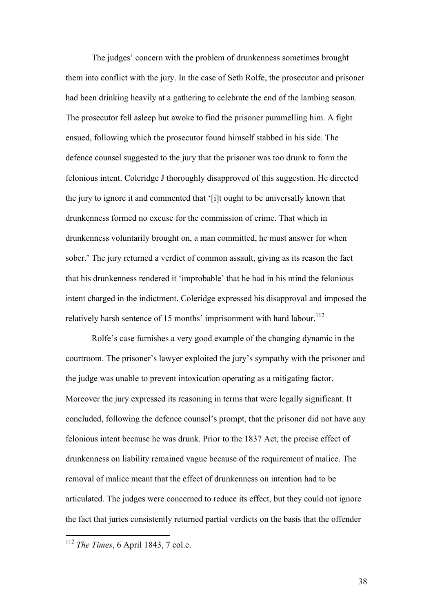The judges' concern with the problem of drunkenness sometimes brought them into conflict with the jury. In the case of Seth Rolfe, the prosecutor and prisoner had been drinking heavily at a gathering to celebrate the end of the lambing season. The prosecutor fell asleep but awoke to find the prisoner pummelling him. A fight ensued, following which the prosecutor found himself stabbed in his side. The defence counsel suggested to the jury that the prisoner was too drunk to form the felonious intent. Coleridge J thoroughly disapproved of this suggestion. He directed the jury to ignore it and commented that '[i]t ought to be universally known that drunkenness formed no excuse for the commission of crime. That which in drunkenness voluntarily brought on, a man committed, he must answer for when sober.' The jury returned a verdict of common assault, giving as its reason the fact that his drunkenness rendered it 'improbable' that he had in his mind the felonious intent charged in the indictment. Coleridge expressed his disapproval and imposed the relatively harsh sentence of 15 months' imprisonment with hard labour.<sup>112</sup>

Rolfe's case furnishes a very good example of the changing dynamic in the courtroom. The prisoner's lawyer exploited the jury's sympathy with the prisoner and the judge was unable to prevent intoxication operating as a mitigating factor. Moreover the jury expressed its reasoning in terms that were legally significant. It concluded, following the defence counsel's prompt, that the prisoner did not have any felonious intent because he was drunk. Prior to the 1837 Act, the precise effect of drunkenness on liability remained vague because of the requirement of malice. The removal of malice meant that the effect of drunkenness on intention had to be articulated. The judges were concerned to reduce its effect, but they could not ignore the fact that juries consistently returned partial verdicts on the basis that the offender

38

 <sup>112</sup> *The Times*, 6 April 1843, 7 col.e.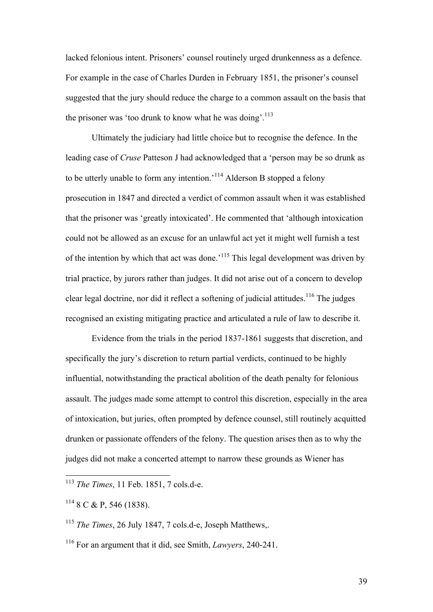lacked felonious intent. Prisoners' counsel routinely urged drunkenness as a defence. For example in the case of Charles Durden in February 1851, the prisoner's counsel suggested that the jury should reduce the charge to a common assault on the basis that the prisoner was 'too drunk to know what he was doing'.<sup>113</sup>

Ultimately the judiciary had little choice but to recognise the defence. In the leading case of *Cruse* Patteson J had acknowledged that a 'person may be so drunk as to be utterly unable to form any intention.<sup>'114</sup> Alderson B stopped a felony prosecution in 1847 and directed a verdict of common assault when it was established that the prisoner was 'greatly intoxicated'. He commented that 'although intoxication could not be allowed as an excuse for an unlawful act yet it might well furnish a test of the intention by which that act was done.'115 This legal development was driven by trial practice, by jurors rather than judges. It did not arise out of a concern to develop clear legal doctrine, nor did it reflect a softening of judicial attitudes.<sup>116</sup> The judges recognised an existing mitigating practice and articulated a rule of law to describe it.

Evidence from the trials in the period 1837-1861 suggests that discretion, and specifically the jury's discretion to return partial verdicts, continued to be highly influential, notwithstanding the practical abolition of the death penalty for felonious assault. The judges made some attempt to control this discretion, especially in the area of intoxication, but juries, often prompted by defence counsel, still routinely acquitted drunken or passionate offenders of the felony. The question arises then as to why the judges did not make a concerted attempt to narrow these grounds as Wiener has

 <sup>113</sup> *The Times*, 11 Feb. 1851, 7 cols.d-e.

 $114$  8 C & P, 546 (1838).

<sup>115</sup> *The Times*, 26 July 1847, 7 cols.d-e, Joseph Matthews,.

<sup>116</sup> For an argument that it did, see Smith, *Lawyers*, 240-241.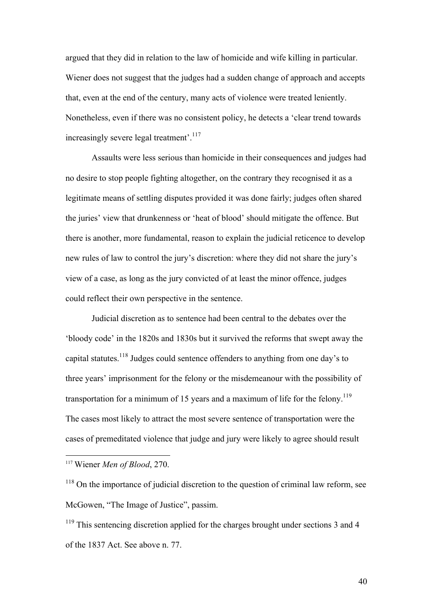argued that they did in relation to the law of homicide and wife killing in particular. Wiener does not suggest that the judges had a sudden change of approach and accepts that, even at the end of the century, many acts of violence were treated leniently. Nonetheless, even if there was no consistent policy, he detects a 'clear trend towards increasingly severe legal treatment'.<sup>117</sup>

Assaults were less serious than homicide in their consequences and judges had no desire to stop people fighting altogether, on the contrary they recognised it as a legitimate means of settling disputes provided it was done fairly; judges often shared the juries' view that drunkenness or 'heat of blood' should mitigate the offence. But there is another, more fundamental, reason to explain the judicial reticence to develop new rules of law to control the jury's discretion: where they did not share the jury's view of a case, as long as the jury convicted of at least the minor offence, judges could reflect their own perspective in the sentence.

Judicial discretion as to sentence had been central to the debates over the 'bloody code' in the 1820s and 1830s but it survived the reforms that swept away the capital statutes.<sup>118</sup> Judges could sentence offenders to anything from one day's to three years' imprisonment for the felony or the misdemeanour with the possibility of transportation for a minimum of 15 years and a maximum of life for the felony.<sup>119</sup> The cases most likely to attract the most severe sentence of transportation were the cases of premeditated violence that judge and jury were likely to agree should result

 <sup>117</sup> Wiener *Men of Blood*, 270.

 $118$  On the importance of judicial discretion to the question of criminal law reform, see McGowen, "The Image of Justice", passim.

<sup>&</sup>lt;sup>119</sup> This sentencing discretion applied for the charges brought under sections 3 and 4 of the 1837 Act. See above n. 77.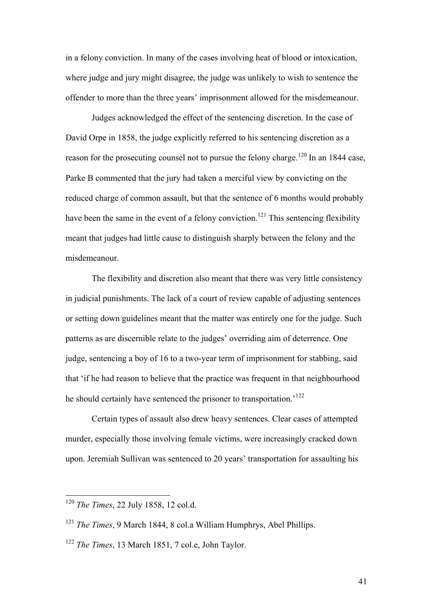in a felony conviction. In many of the cases involving heat of blood or intoxication, where judge and jury might disagree, the judge was unlikely to wish to sentence the offender to more than the three years' imprisonment allowed for the misdemeanour.

Judges acknowledged the effect of the sentencing discretion. In the case of David Orpe in 1858, the judge explicitly referred to his sentencing discretion as a reason for the prosecuting counsel not to pursue the felony charge.<sup>120</sup> In an 1844 case, Parke B commented that the jury had taken a merciful view by convicting on the reduced charge of common assault, but that the sentence of 6 months would probably have been the same in the event of a felony conviction.<sup>121</sup> This sentencing flexibility meant that judges had little cause to distinguish sharply between the felony and the misdemeanour.

The flexibility and discretion also meant that there was very little consistency in judicial punishments. The lack of a court of review capable of adjusting sentences or setting down guidelines meant that the matter was entirely one for the judge. Such patterns as are discernible relate to the judges' overriding aim of deterrence. One judge, sentencing a boy of 16 to a two-year term of imprisonment for stabbing, said that 'if he had reason to believe that the practice was frequent in that neighbourhood he should certainly have sentenced the prisoner to transportation.<sup>122</sup>

Certain types of assault also drew heavy sentences. Clear cases of attempted murder, especially those involving female victims, were increasingly cracked down upon. Jeremiah Sullivan was sentenced to 20 years' transportation for assaulting his

 <sup>120</sup> *The Times*, 22 July 1858, 12 col.d.

<sup>121</sup> *The Times*, 9 March 1844, 8 col.a William Humphrys, Abel Phillips.

<sup>122</sup> *The Times*, 13 March 1851, 7 col.e, John Taylor.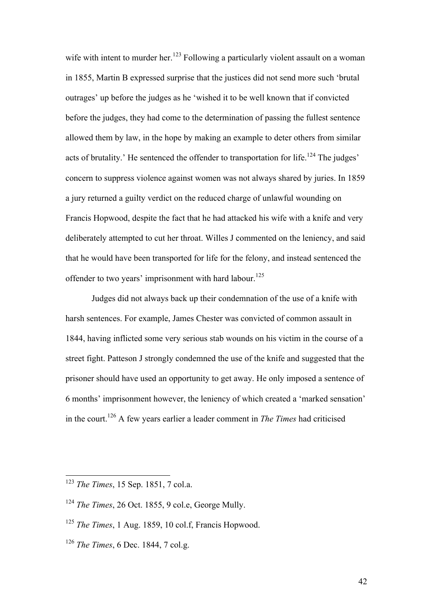wife with intent to murder her.<sup>123</sup> Following a particularly violent assault on a woman in 1855, Martin B expressed surprise that the justices did not send more such 'brutal outrages' up before the judges as he 'wished it to be well known that if convicted before the judges, they had come to the determination of passing the fullest sentence allowed them by law, in the hope by making an example to deter others from similar acts of brutality.' He sentenced the offender to transportation for life.<sup>124</sup> The judges' concern to suppress violence against women was not always shared by juries. In 1859 a jury returned a guilty verdict on the reduced charge of unlawful wounding on Francis Hopwood, despite the fact that he had attacked his wife with a knife and very deliberately attempted to cut her throat. Willes J commented on the leniency, and said that he would have been transported for life for the felony, and instead sentenced the offender to two years' imprisonment with hard labour.<sup>125</sup>

Judges did not always back up their condemnation of the use of a knife with harsh sentences. For example, James Chester was convicted of common assault in 1844, having inflicted some very serious stab wounds on his victim in the course of a street fight. Patteson J strongly condemned the use of the knife and suggested that the prisoner should have used an opportunity to get away. He only imposed a sentence of 6 months' imprisonment however, the leniency of which created a 'marked sensation' in the court.126 A few years earlier a leader comment in *The Times* had criticised

 <sup>123</sup> *The Times*, 15 Sep. 1851, 7 col.a.

<sup>124</sup> *The Times*, 26 Oct. 1855, 9 col.e, George Mully.

<sup>125</sup> *The Times*, 1 Aug. 1859, 10 col.f, Francis Hopwood.

<sup>126</sup> *The Times*, 6 Dec. 1844, 7 col.g.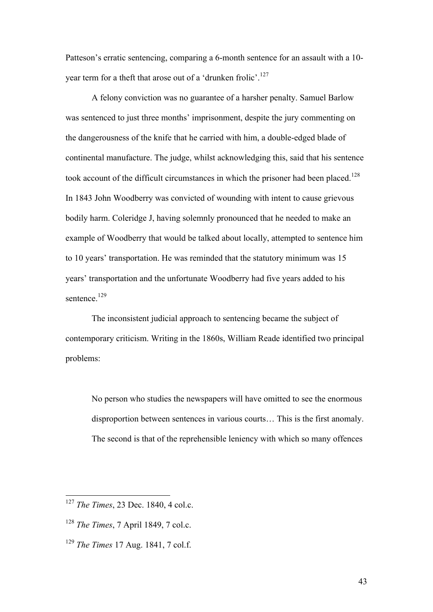Patteson's erratic sentencing, comparing a 6-month sentence for an assault with a 10 year term for a theft that arose out of a 'drunken frolic'.<sup>127</sup>

A felony conviction was no guarantee of a harsher penalty. Samuel Barlow was sentenced to just three months' imprisonment, despite the jury commenting on the dangerousness of the knife that he carried with him, a double-edged blade of continental manufacture. The judge, whilst acknowledging this, said that his sentence took account of the difficult circumstances in which the prisoner had been placed.<sup>128</sup> In 1843 John Woodberry was convicted of wounding with intent to cause grievous bodily harm. Coleridge J, having solemnly pronounced that he needed to make an example of Woodberry that would be talked about locally, attempted to sentence him to 10 years' transportation. He was reminded that the statutory minimum was 15 years' transportation and the unfortunate Woodberry had five years added to his sentence.<sup>129</sup>

The inconsistent judicial approach to sentencing became the subject of contemporary criticism. Writing in the 1860s, William Reade identified two principal problems:

No person who studies the newspapers will have omitted to see the enormous disproportion between sentences in various courts… This is the first anomaly. The second is that of the reprehensible leniency with which so many offences

 <sup>127</sup> *The Times*, 23 Dec. 1840, 4 col.c.

<sup>128</sup> *The Times*, 7 April 1849, 7 col.c.

<sup>129</sup> *The Times* 17 Aug. 1841, 7 col.f.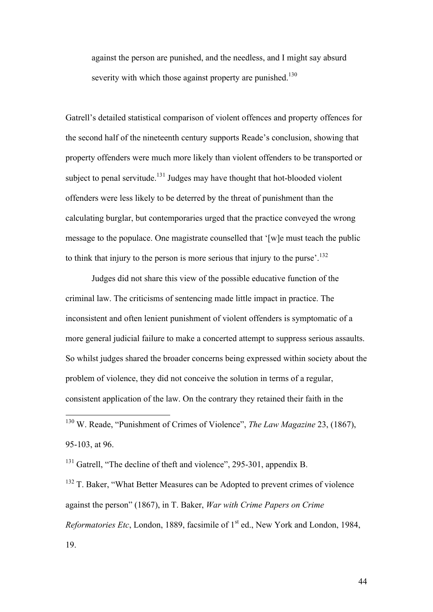against the person are punished, and the needless, and I might say absurd severity with which those against property are punished.<sup>130</sup>

Gatrell's detailed statistical comparison of violent offences and property offences for the second half of the nineteenth century supports Reade's conclusion, showing that property offenders were much more likely than violent offenders to be transported or subject to penal servitude.<sup>131</sup> Judges may have thought that hot-blooded violent offenders were less likely to be deterred by the threat of punishment than the calculating burglar, but contemporaries urged that the practice conveyed the wrong message to the populace. One magistrate counselled that '[w]e must teach the public to think that injury to the person is more serious that injury to the purse<sup>'.132</sup>

Judges did not share this view of the possible educative function of the criminal law. The criticisms of sentencing made little impact in practice. The inconsistent and often lenient punishment of violent offenders is symptomatic of a more general judicial failure to make a concerted attempt to suppress serious assaults. So whilst judges shared the broader concerns being expressed within society about the problem of violence, they did not conceive the solution in terms of a regular, consistent application of the law. On the contrary they retained their faith in the

 130 W. Reade, "Punishment of Crimes of Violence", *The Law Magazine* 23, (1867), 95-103, at 96.

<sup>131</sup> Gatrell, "The decline of theft and violence", 295-301, appendix B.

 $132$  T. Baker, "What Better Measures can be Adopted to prevent crimes of violence against the person" (1867), in T. Baker, *War with Crime Papers on Crime Reformatories Etc*, London, 1889, facsimile of 1<sup>st</sup> ed., New York and London, 1984, 19.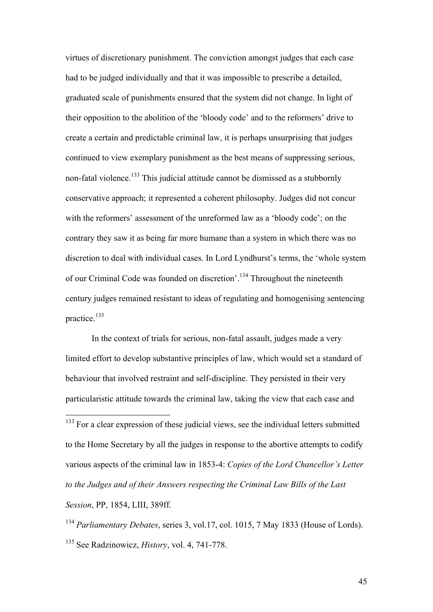virtues of discretionary punishment. The conviction amongst judges that each case had to be judged individually and that it was impossible to prescribe a detailed, graduated scale of punishments ensured that the system did not change. In light of their opposition to the abolition of the 'bloody code' and to the reformers' drive to create a certain and predictable criminal law, it is perhaps unsurprising that judges continued to view exemplary punishment as the best means of suppressing serious, non-fatal violence.<sup>133</sup> This judicial attitude cannot be dismissed as a stubbornly conservative approach; it represented a coherent philosophy. Judges did not concur with the reformers' assessment of the unreformed law as a 'bloody code'; on the contrary they saw it as being far more humane than a system in which there was no discretion to deal with individual cases. In Lord Lyndhurst's terms, the 'whole system of our Criminal Code was founded on discretion'.<sup>134</sup> Throughout the nineteenth century judges remained resistant to ideas of regulating and homogenising sentencing practice. $135$ 

In the context of trials for serious, non-fatal assault, judges made a very limited effort to develop substantive principles of law, which would set a standard of behaviour that involved restraint and self-discipline. They persisted in their very particularistic attitude towards the criminal law, taking the view that each case and

<sup>133</sup> For a clear expression of these judicial views, see the individual letters submitted to the Home Secretary by all the judges in response to the abortive attempts to codify various aspects of the criminal law in 1853-4: *Copies of the Lord Chancellor's Letter to the Judges and of their Answers respecting the Criminal Law Bills of the Last Session*, PP, 1854, LIII, 389ff.

<sup>134</sup> *Parliamentary Debates*, series 3, vol.17, col. 1015, 7 May 1833 (House of Lords). 135 See Radzinowicz, *History*, vol. 4, 741-778.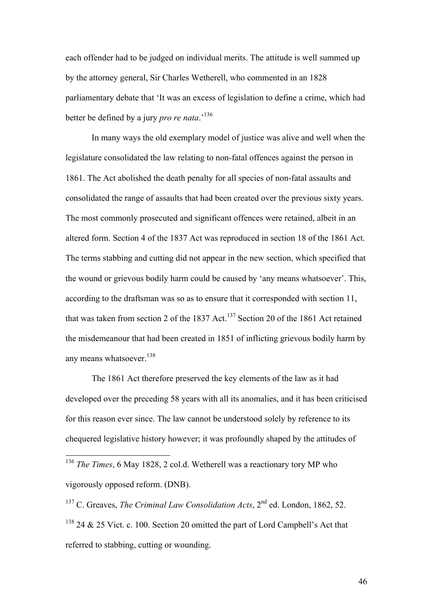each offender had to be judged on individual merits. The attitude is well summed up by the attorney general, Sir Charles Wetherell, who commented in an 1828 parliamentary debate that 'It was an excess of legislation to define a crime, which had better be defined by a jury *pro re nata*.'<sup>136</sup>

In many ways the old exemplary model of justice was alive and well when the legislature consolidated the law relating to non-fatal offences against the person in 1861. The Act abolished the death penalty for all species of non-fatal assaults and consolidated the range of assaults that had been created over the previous sixty years. The most commonly prosecuted and significant offences were retained, albeit in an altered form. Section 4 of the 1837 Act was reproduced in section 18 of the 1861 Act. The terms stabbing and cutting did not appear in the new section, which specified that the wound or grievous bodily harm could be caused by 'any means whatsoever'. This, according to the draftsman was so as to ensure that it corresponded with section 11, that was taken from section 2 of the  $1837$  Act.<sup>137</sup> Section 20 of the 1861 Act retained the misdemeanour that had been created in 1851 of inflicting grievous bodily harm by any means whatsoever.<sup>138</sup>

The 1861 Act therefore preserved the key elements of the law as it had developed over the preceding 58 years with all its anomalies, and it has been criticised for this reason ever since. The law cannot be understood solely by reference to its chequered legislative history however; it was profoundly shaped by the attitudes of

 <sup>136</sup> *The Times*, 6 May 1828, 2 col.d. Wetherell was a reactionary tory MP who vigorously opposed reform. (DNB).

<sup>&</sup>lt;sup>137</sup> C. Greaves, *The Criminal Law Consolidation Acts*, 2<sup>nd</sup> ed. London, 1862, 52.  $138$  24 & 25 Vict. c. 100. Section 20 omitted the part of Lord Campbell's Act that referred to stabbing, cutting or wounding.